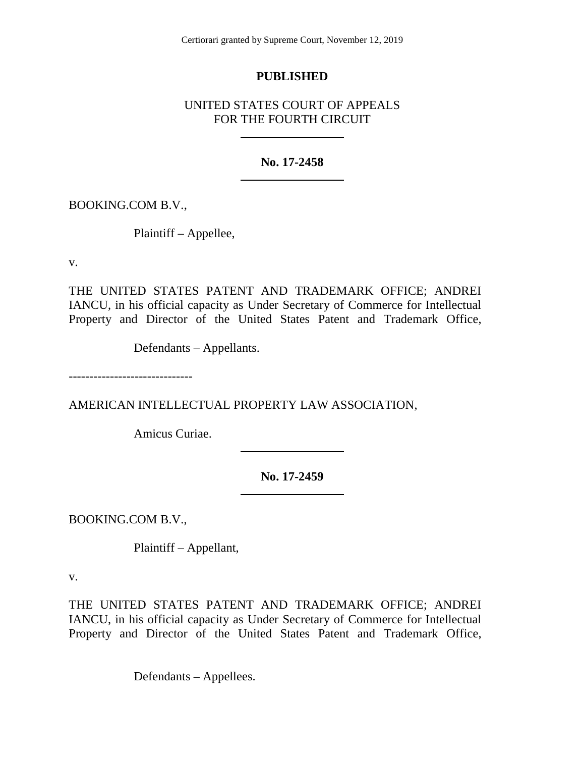## **PUBLISHED**

# UNITED STATES COURT OF APPEALS FOR THE FOURTH CIRCUIT

### **No. 17-2458**

BOOKING.COM B.V.,

Plaintiff – Appellee,

v.

THE UNITED STATES PATENT AND TRADEMARK OFFICE; ANDREI IANCU, in his official capacity as Under Secretary of Commerce for Intellectual Property and Director of the United States Patent and Trademark Office,

Defendants – Appellants.

------------------------------

AMERICAN INTELLECTUAL PROPERTY LAW ASSOCIATION,

Amicus Curiae.

**No. 17-2459**

BOOKING.COM B.V.,

Plaintiff – Appellant,

v.

THE UNITED STATES PATENT AND TRADEMARK OFFICE; ANDREI IANCU, in his official capacity as Under Secretary of Commerce for Intellectual Property and Director of the United States Patent and Trademark Office,

Defendants – Appellees.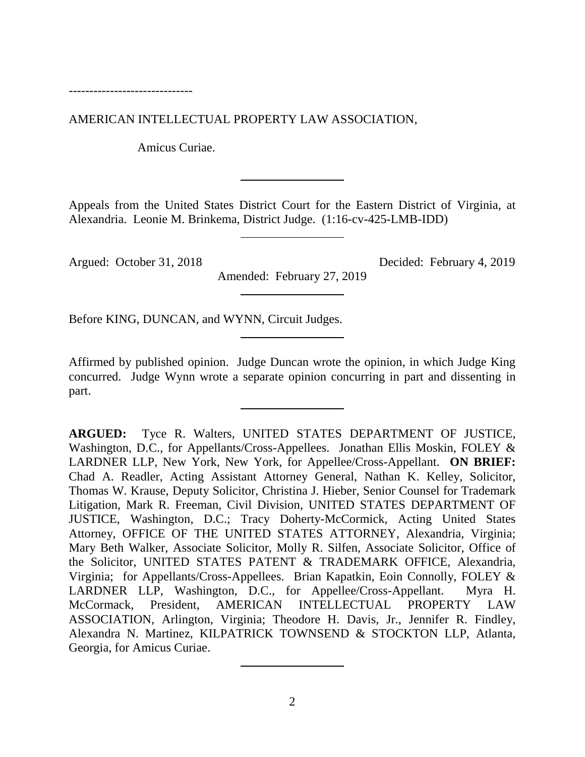------------------------------

AMERICAN INTELLECTUAL PROPERTY LAW ASSOCIATION,

Amicus Curiae.

Appeals from the United States District Court for the Eastern District of Virginia, at Alexandria. Leonie M. Brinkema, District Judge. (1:16-cv-425-LMB-IDD)

Amended: February 27, 2019

Argued: October 31, 2018 Decided: February 4, 2019

Before KING, DUNCAN, and WYNN, Circuit Judges.

Affirmed by published opinion. Judge Duncan wrote the opinion, in which Judge King concurred. Judge Wynn wrote a separate opinion concurring in part and dissenting in part.

**ARGUED:** Tyce R. Walters, UNITED STATES DEPARTMENT OF JUSTICE, Washington, D.C., for Appellants/Cross-Appellees. Jonathan Ellis Moskin, FOLEY & LARDNER LLP, New York, New York, for Appellee/Cross-Appellant. **ON BRIEF:**  Chad A. Readler, Acting Assistant Attorney General, Nathan K. Kelley, Solicitor, Thomas W. Krause, Deputy Solicitor, Christina J. Hieber, Senior Counsel for Trademark Litigation, Mark R. Freeman, Civil Division, UNITED STATES DEPARTMENT OF JUSTICE, Washington, D.C.; Tracy Doherty-McCormick, Acting United States Attorney, OFFICE OF THE UNITED STATES ATTORNEY, Alexandria, Virginia; Mary Beth Walker, Associate Solicitor, Molly R. Silfen, Associate Solicitor, Office of the Solicitor, UNITED STATES PATENT & TRADEMARK OFFICE, Alexandria, Virginia; for Appellants/Cross-Appellees. Brian Kapatkin, Eoin Connolly, FOLEY & LARDNER LLP, Washington, D.C., for Appellee/Cross-Appellant. Myra H. McCormack, President, AMERICAN INTELLECTUAL PROPERTY LAW ASSOCIATION, Arlington, Virginia; Theodore H. Davis, Jr., Jennifer R. Findley, Alexandra N. Martinez, KILPATRICK TOWNSEND & STOCKTON LLP, Atlanta, Georgia, for Amicus Curiae.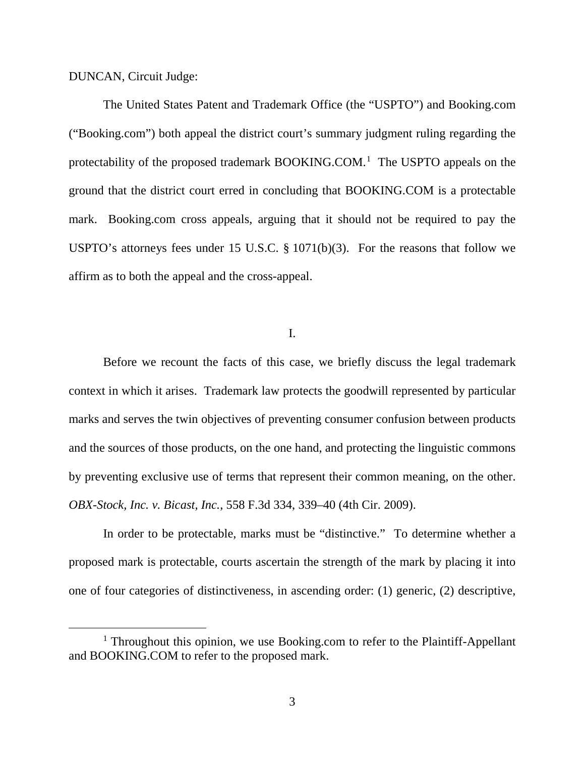DUNCAN, Circuit Judge:

The United States Patent and Trademark Office (the "USPTO") and Booking.com ("Booking.com") both appeal the district court's summary judgment ruling regarding the protectability of the proposed trademark BOOKING.COM.<sup>[1](#page-2-0)</sup> The USPTO appeals on the ground that the district court erred in concluding that BOOKING.COM is a protectable mark. Booking.com cross appeals, arguing that it should not be required to pay the USPTO's attorneys fees under 15 U.S.C. § 1071(b)(3). For the reasons that follow we affirm as to both the appeal and the cross-appeal.

I.

Before we recount the facts of this case, we briefly discuss the legal trademark context in which it arises. Trademark law protects the goodwill represented by particular marks and serves the twin objectives of preventing consumer confusion between products and the sources of those products, on the one hand, and protecting the linguistic commons by preventing exclusive use of terms that represent their common meaning, on the other. *OBX-Stock, Inc. v. Bicast, Inc.*, 558 F.3d 334, 339–40 (4th Cir. 2009).

In order to be protectable, marks must be "distinctive." To determine whether a proposed mark is protectable, courts ascertain the strength of the mark by placing it into one of four categories of distinctiveness, in ascending order: (1) generic, (2) descriptive,

<span id="page-2-0"></span><sup>&</sup>lt;sup>1</sup> Throughout this opinion, we use Booking.com to refer to the Plaintiff-Appellant and BOOKING.COM to refer to the proposed mark.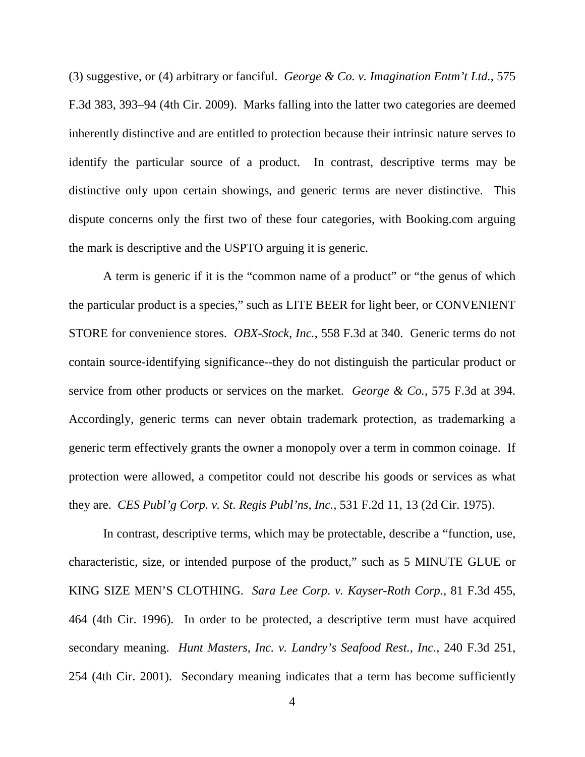(3) suggestive, or (4) arbitrary or fanciful. *George & Co. v. Imagination Entm't Ltd.*, 575 F.3d 383, 393–94 (4th Cir. 2009). Marks falling into the latter two categories are deemed inherently distinctive and are entitled to protection because their intrinsic nature serves to identify the particular source of a product. In contrast, descriptive terms may be distinctive only upon certain showings, and generic terms are never distinctive. This dispute concerns only the first two of these four categories, with Booking.com arguing the mark is descriptive and the USPTO arguing it is generic.

A term is generic if it is the "common name of a product" or "the genus of which the particular product is a species," such as LITE BEER for light beer, or CONVENIENT STORE for convenience stores. *OBX-Stock, Inc.*, 558 F.3d at 340. Generic terms do not contain source-identifying significance--they do not distinguish the particular product or service from other products or services on the market. *George & Co.*, 575 F.3d at 394. Accordingly, generic terms can never obtain trademark protection, as trademarking a generic term effectively grants the owner a monopoly over a term in common coinage. If protection were allowed, a competitor could not describe his goods or services as what they are. *CES Publ'g Corp. v. St. Regis Publ'ns, Inc.*, 531 F.2d 11, 13 (2d Cir. 1975).

In contrast, descriptive terms, which may be protectable, describe a "function, use, characteristic, size, or intended purpose of the product," such as 5 MINUTE GLUE or KING SIZE MEN'S CLOTHING. *Sara Lee Corp. v. Kayser-Roth Corp.*, 81 F.3d 455, 464 (4th Cir. 1996). In order to be protected, a descriptive term must have acquired secondary meaning. *Hunt Masters, Inc. v. Landry's Seafood Rest., Inc.*, 240 F.3d 251, 254 (4th Cir. 2001). Secondary meaning indicates that a term has become sufficiently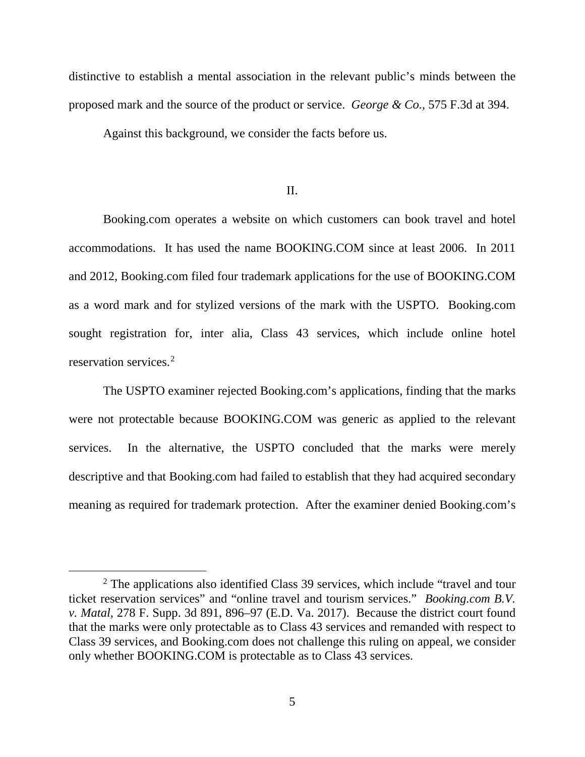distinctive to establish a mental association in the relevant public's minds between the proposed mark and the source of the product or service. *George & Co.*, 575 F.3d at 394.

Against this background, we consider the facts before us.

#### II.

Booking.com operates a website on which customers can book travel and hotel accommodations. It has used the name BOOKING.COM since at least 2006. In 2011 and 2012, Booking.com filed four trademark applications for the use of BOOKING.COM as a word mark and for stylized versions of the mark with the USPTO. Booking.com sought registration for, inter alia, Class 43 services, which include online hotel reservation services.[2](#page-4-0)

The USPTO examiner rejected Booking.com's applications, finding that the marks were not protectable because BOOKING.COM was generic as applied to the relevant services. In the alternative, the USPTO concluded that the marks were merely descriptive and that Booking.com had failed to establish that they had acquired secondary meaning as required for trademark protection. After the examiner denied Booking.com's

<span id="page-4-0"></span><sup>&</sup>lt;sup>2</sup> The applications also identified Class 39 services, which include "travel and tour ticket reservation services" and "online travel and tourism services." *Booking.com B.V. v. Matal*, 278 F. Supp. 3d 891, 896–97 (E.D. Va. 2017). Because the district court found that the marks were only protectable as to Class 43 services and remanded with respect to Class 39 services, and Booking.com does not challenge this ruling on appeal, we consider only whether BOOKING.COM is protectable as to Class 43 services.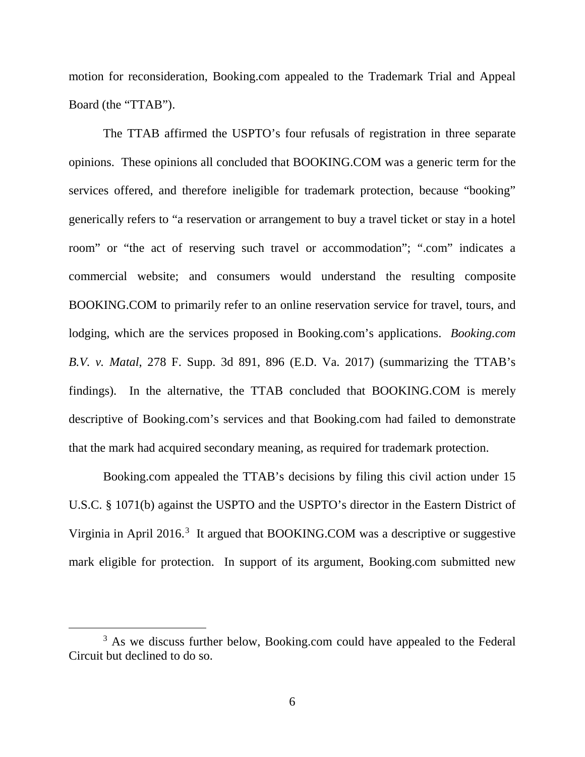motion for reconsideration, Booking.com appealed to the Trademark Trial and Appeal Board (the "TTAB").

The TTAB affirmed the USPTO's four refusals of registration in three separate opinions. These opinions all concluded that BOOKING.COM was a generic term for the services offered, and therefore ineligible for trademark protection, because "booking" generically refers to "a reservation or arrangement to buy a travel ticket or stay in a hotel room" or "the act of reserving such travel or accommodation"; ".com" indicates a commercial website; and consumers would understand the resulting composite BOOKING.COM to primarily refer to an online reservation service for travel, tours, and lodging, which are the services proposed in Booking.com's applications. *Booking.com B.V. v. Matal*, 278 F. Supp. 3d 891, 896 (E.D. Va. 2017) (summarizing the TTAB's findings). In the alternative, the TTAB concluded that BOOKING.COM is merely descriptive of Booking.com's services and that Booking.com had failed to demonstrate that the mark had acquired secondary meaning, as required for trademark protection.

Booking.com appealed the TTAB's decisions by filing this civil action under 15 U.S.C. § 1071(b) against the USPTO and the USPTO's director in the Eastern District of Virginia in April 2016.<sup>[3](#page-5-0)</sup> It argued that BOOKING.COM was a descriptive or suggestive mark eligible for protection. In support of its argument, Booking.com submitted new

<span id="page-5-0"></span><sup>&</sup>lt;sup>3</sup> As we discuss further below, Booking.com could have appealed to the Federal Circuit but declined to do so.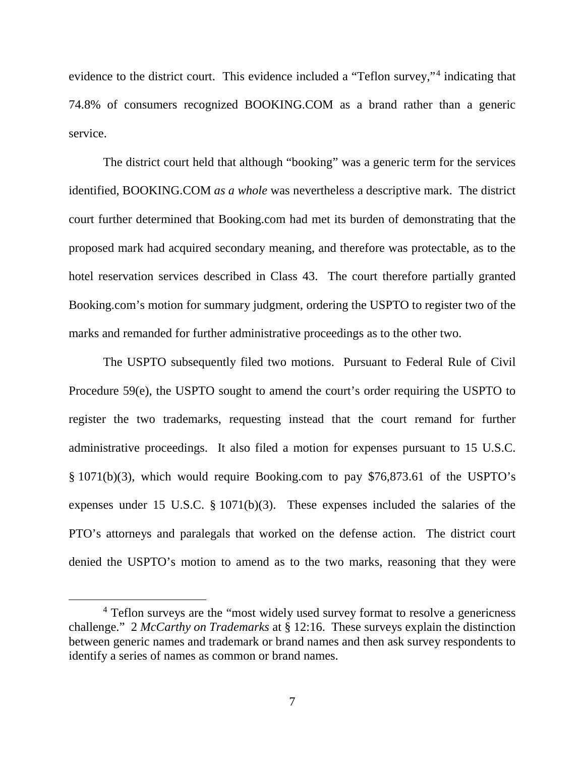evidence to the district court. This evidence included a "Teflon survey,"[4](#page-6-0) indicating that 74.8% of consumers recognized BOOKING.COM as a brand rather than a generic service.

The district court held that although "booking" was a generic term for the services identified, BOOKING.COM *as a whole* was nevertheless a descriptive mark. The district court further determined that Booking.com had met its burden of demonstrating that the proposed mark had acquired secondary meaning, and therefore was protectable, as to the hotel reservation services described in Class 43. The court therefore partially granted Booking.com's motion for summary judgment, ordering the USPTO to register two of the marks and remanded for further administrative proceedings as to the other two.

The USPTO subsequently filed two motions. Pursuant to Federal Rule of Civil Procedure 59(e), the USPTO sought to amend the court's order requiring the USPTO to register the two trademarks, requesting instead that the court remand for further administrative proceedings. It also filed a motion for expenses pursuant to 15 U.S.C. § 1071(b)(3), which would require Booking.com to pay \$76,873.61 of the USPTO's expenses under 15 U.S.C. § 1071(b)(3). These expenses included the salaries of the PTO's attorneys and paralegals that worked on the defense action. The district court denied the USPTO's motion to amend as to the two marks, reasoning that they were

<span id="page-6-0"></span><sup>&</sup>lt;sup>4</sup> Teflon surveys are the "most widely used survey format to resolve a genericness" challenge." 2 *McCarthy on Trademarks* at § 12:16. These surveys explain the distinction between generic names and trademark or brand names and then ask survey respondents to identify a series of names as common or brand names.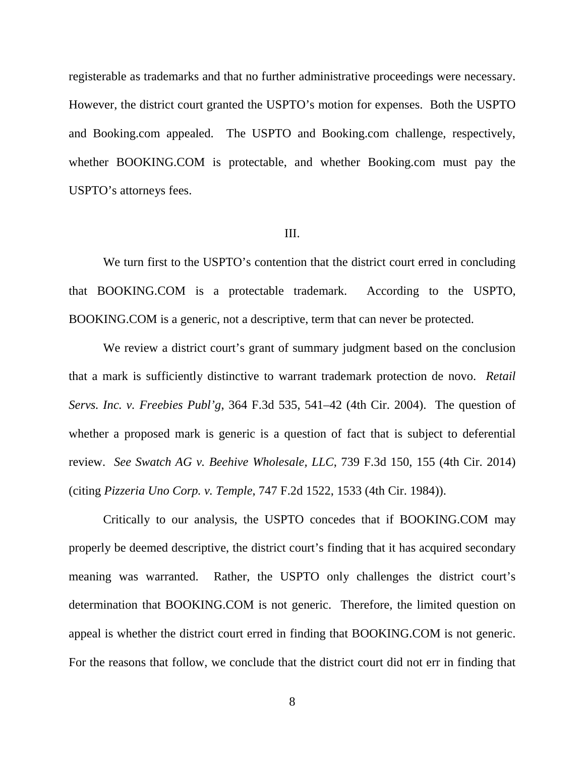registerable as trademarks and that no further administrative proceedings were necessary. However, the district court granted the USPTO's motion for expenses. Both the USPTO and Booking.com appealed. The USPTO and Booking.com challenge, respectively, whether BOOKING.COM is protectable, and whether Booking.com must pay the USPTO's attorneys fees.

#### III.

We turn first to the USPTO's contention that the district court erred in concluding that BOOKING.COM is a protectable trademark. According to the USPTO, BOOKING.COM is a generic, not a descriptive, term that can never be protected.

We review a district court's grant of summary judgment based on the conclusion that a mark is sufficiently distinctive to warrant trademark protection de novo. *Retail Servs. Inc. v. Freebies Publ'g*, 364 F.3d 535, 541–42 (4th Cir. 2004). The question of whether a proposed mark is generic is a question of fact that is subject to deferential review. *See Swatch AG v. Beehive Wholesale, LLC*, 739 F.3d 150, 155 (4th Cir. 2014) (citing *Pizzeria Uno Corp. v. Temple*, 747 F.2d 1522, 1533 (4th Cir. 1984)).

Critically to our analysis, the USPTO concedes that if BOOKING.COM may properly be deemed descriptive, the district court's finding that it has acquired secondary meaning was warranted. Rather, the USPTO only challenges the district court's determination that BOOKING.COM is not generic. Therefore, the limited question on appeal is whether the district court erred in finding that BOOKING.COM is not generic. For the reasons that follow, we conclude that the district court did not err in finding that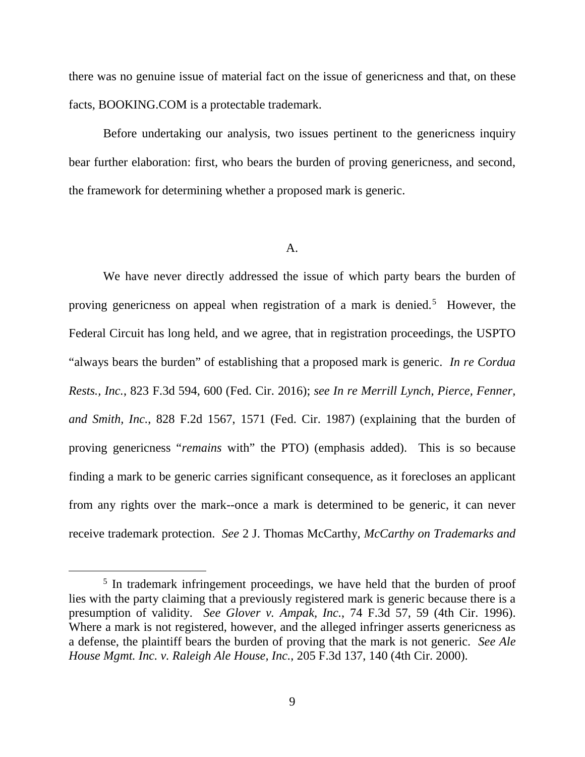there was no genuine issue of material fact on the issue of genericness and that, on these facts, BOOKING.COM is a protectable trademark.

Before undertaking our analysis, two issues pertinent to the genericness inquiry bear further elaboration: first, who bears the burden of proving genericness, and second, the framework for determining whether a proposed mark is generic.

#### $\mathbf{A}$ .

We have never directly addressed the issue of which party bears the burden of proving genericness on appeal when registration of a mark is denied.<sup>[5](#page-8-0)</sup> However, the Federal Circuit has long held, and we agree, that in registration proceedings, the USPTO "always bears the burden" of establishing that a proposed mark is generic. *In re Cordua Rests., Inc.*, 823 F.3d 594, 600 (Fed. Cir. 2016); *see In re Merrill Lynch, Pierce, Fenner, and Smith, Inc.*, 828 F.2d 1567, 1571 (Fed. Cir. 1987) (explaining that the burden of proving genericness "*remains* with" the PTO) (emphasis added). This is so because finding a mark to be generic carries significant consequence, as it forecloses an applicant from any rights over the mark--once a mark is determined to be generic, it can never receive trademark protection. *See* 2 J. Thomas McCarthy, *McCarthy on Trademarks and* 

<span id="page-8-0"></span><sup>&</sup>lt;sup>5</sup> In trademark infringement proceedings, we have held that the burden of proof lies with the party claiming that a previously registered mark is generic because there is a presumption of validity. *See Glover v. Ampak, Inc.*, 74 F.3d 57, 59 (4th Cir. 1996). Where a mark is not registered, however, and the alleged infringer asserts genericness as a defense, the plaintiff bears the burden of proving that the mark is not generic. *See Ale House Mgmt. Inc. v. Raleigh Ale House, Inc.*, 205 F.3d 137, 140 (4th Cir. 2000).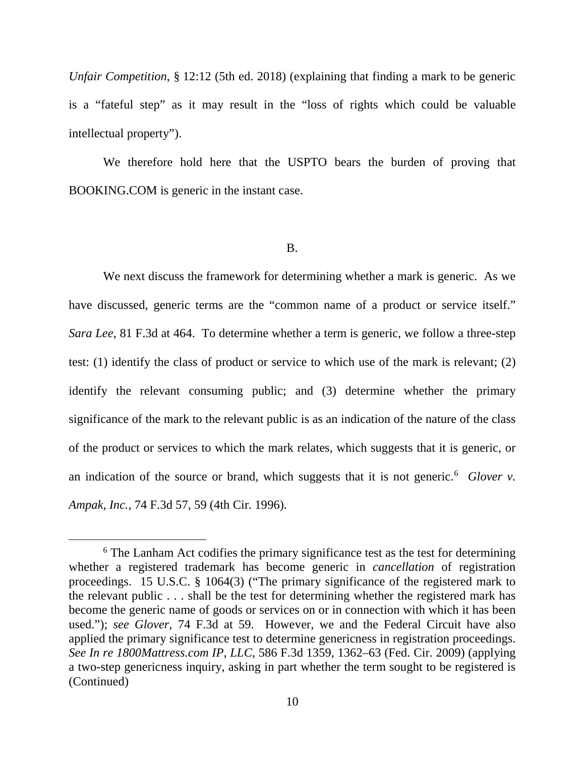*Unfair Competition*, § 12:12 (5th ed. 2018) (explaining that finding a mark to be generic is a "fateful step" as it may result in the "loss of rights which could be valuable intellectual property").

We therefore hold here that the USPTO bears the burden of proving that BOOKING.COM is generic in the instant case.

B.

We next discuss the framework for determining whether a mark is generic. As we have discussed, generic terms are the "common name of a product or service itself." *Sara Lee*, 81 F.3d at 464. To determine whether a term is generic, we follow a three-step test: (1) identify the class of product or service to which use of the mark is relevant; (2) identify the relevant consuming public; and (3) determine whether the primary significance of the mark to the relevant public is as an indication of the nature of the class of the product or services to which the mark relates, which suggests that it is generic, or an indication of the source or brand, which suggests that it is not generic.<sup>[6](#page-9-0)</sup> Glover  $v$ . *Ampak, Inc.*, 74 F.3d 57, 59 (4th Cir. 1996).

<span id="page-9-0"></span><sup>&</sup>lt;sup>6</sup> The Lanham Act codifies the primary significance test as the test for determining whether a registered trademark has become generic in *cancellation* of registration proceedings. 15 U.S.C. § 1064(3) ("The primary significance of the registered mark to the relevant public . . . shall be the test for determining whether the registered mark has become the generic name of goods or services on or in connection with which it has been used."); *see Glover*, 74 F.3d at 59. However, we and the Federal Circuit have also applied the primary significance test to determine genericness in registration proceedings. *See In re 1800Mattress.com IP, LLC*, 586 F.3d 1359, 1362–63 (Fed. Cir. 2009) (applying a two-step genericness inquiry, asking in part whether the term sought to be registered is (Continued)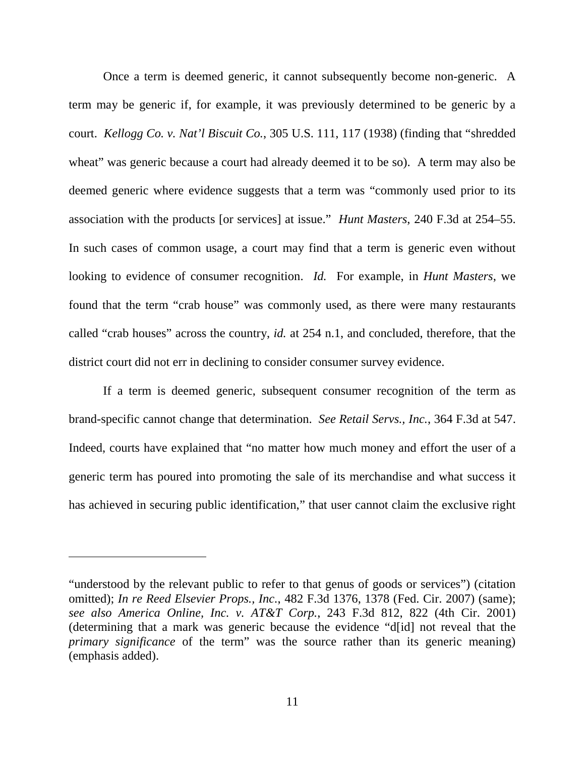Once a term is deemed generic, it cannot subsequently become non-generic. A term may be generic if, for example, it was previously determined to be generic by a court. *Kellogg Co. v. Nat'l Biscuit Co.*, 305 U.S. 111, 117 (1938) (finding that "shredded wheat" was generic because a court had already deemed it to be so). A term may also be deemed generic where evidence suggests that a term was "commonly used prior to its association with the products [or services] at issue." *Hunt Masters*, 240 F.3d at 254–55. In such cases of common usage, a court may find that a term is generic even without looking to evidence of consumer recognition. *Id.* For example, in *Hunt Masters*, we found that the term "crab house" was commonly used, as there were many restaurants called "crab houses" across the country, *id.* at 254 n.1, and concluded, therefore, that the district court did not err in declining to consider consumer survey evidence.

If a term is deemed generic, subsequent consumer recognition of the term as brand-specific cannot change that determination. *See Retail Servs., Inc.*, 364 F.3d at 547. Indeed, courts have explained that "no matter how much money and effort the user of a generic term has poured into promoting the sale of its merchandise and what success it has achieved in securing public identification," that user cannot claim the exclusive right

 $\overline{a}$ 

<sup>&</sup>quot;understood by the relevant public to refer to that genus of goods or services") (citation omitted); *In re Reed Elsevier Props., Inc.*, 482 F.3d 1376, 1378 (Fed. Cir. 2007) (same); *see also America Online, Inc. v. AT&T Corp.*, 243 F.3d 812, 822 (4th Cir. 2001) (determining that a mark was generic because the evidence "d[id] not reveal that the *primary significance* of the term" was the source rather than its generic meaning) (emphasis added).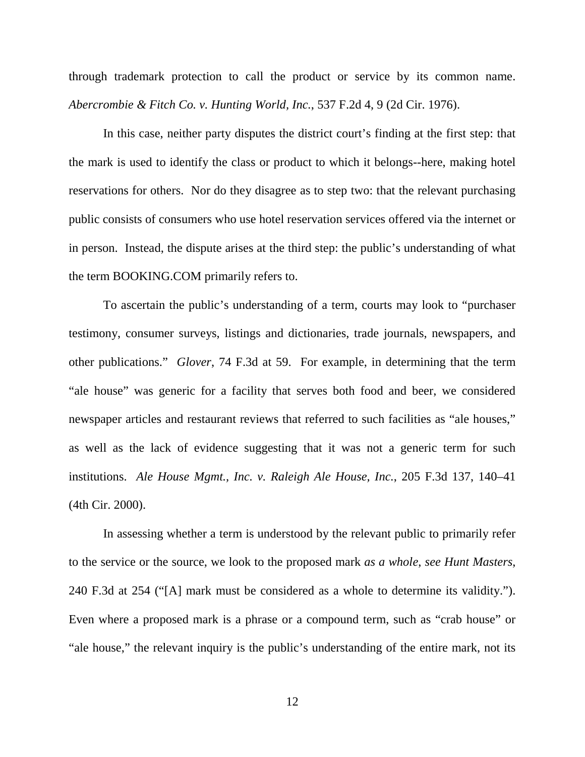through trademark protection to call the product or service by its common name. *Abercrombie & Fitch Co. v. Hunting World, Inc.*, 537 F.2d 4, 9 (2d Cir. 1976).

In this case, neither party disputes the district court's finding at the first step: that the mark is used to identify the class or product to which it belongs--here, making hotel reservations for others. Nor do they disagree as to step two: that the relevant purchasing public consists of consumers who use hotel reservation services offered via the internet or in person. Instead, the dispute arises at the third step: the public's understanding of what the term BOOKING.COM primarily refers to.

To ascertain the public's understanding of a term, courts may look to "purchaser testimony, consumer surveys, listings and dictionaries, trade journals, newspapers, and other publications." *Glover*, 74 F.3d at 59. For example, in determining that the term "ale house" was generic for a facility that serves both food and beer, we considered newspaper articles and restaurant reviews that referred to such facilities as "ale houses," as well as the lack of evidence suggesting that it was not a generic term for such institutions. *Ale House Mgmt., Inc. v. Raleigh Ale House, Inc.*, 205 F.3d 137, 140–41 (4th Cir. 2000).

In assessing whether a term is understood by the relevant public to primarily refer to the service or the source, we look to the proposed mark *as a whole*, *see Hunt Masters*, 240 F.3d at 254 ("[A] mark must be considered as a whole to determine its validity."). Even where a proposed mark is a phrase or a compound term, such as "crab house" or "ale house," the relevant inquiry is the public's understanding of the entire mark, not its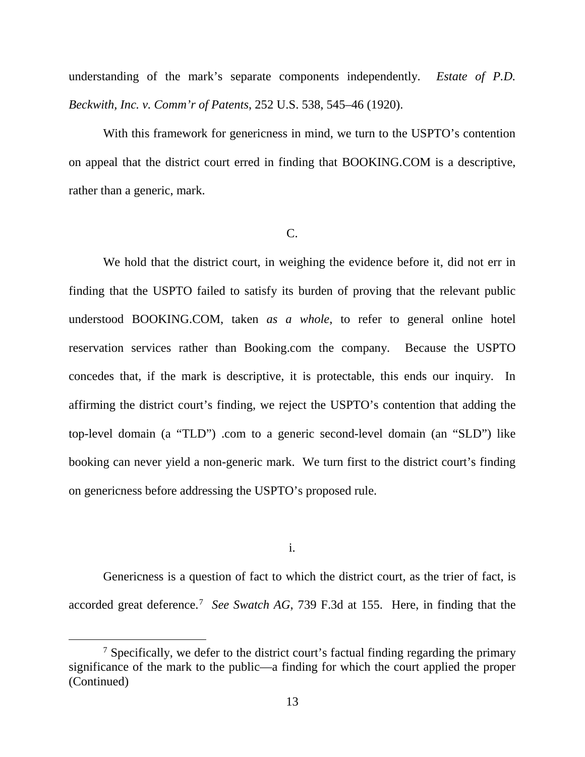understanding of the mark's separate components independently. *Estate of P.D. Beckwith, Inc. v. Comm'r of Patents*, 252 U.S. 538, 545–46 (1920).

With this framework for genericness in mind, we turn to the USPTO's contention on appeal that the district court erred in finding that BOOKING.COM is a descriptive, rather than a generic, mark.

### C.

We hold that the district court, in weighing the evidence before it, did not err in finding that the USPTO failed to satisfy its burden of proving that the relevant public understood BOOKING.COM, taken *as a whole*, to refer to general online hotel reservation services rather than Booking.com the company. Because the USPTO concedes that, if the mark is descriptive, it is protectable, this ends our inquiry. In affirming the district court's finding, we reject the USPTO's contention that adding the top-level domain (a "TLD") .com to a generic second-level domain (an "SLD") like booking can never yield a non-generic mark. We turn first to the district court's finding on genericness before addressing the USPTO's proposed rule.

i.

Genericness is a question of fact to which the district court, as the trier of fact, is accorded great deference.<sup>[7](#page-12-0)</sup> See Swatch AG, 739 F.3d at 155. Here, in finding that the

<span id="page-12-0"></span> $<sup>7</sup>$  Specifically, we defer to the district court's factual finding regarding the primary</sup> significance of the mark to the public—a finding for which the court applied the proper (Continued)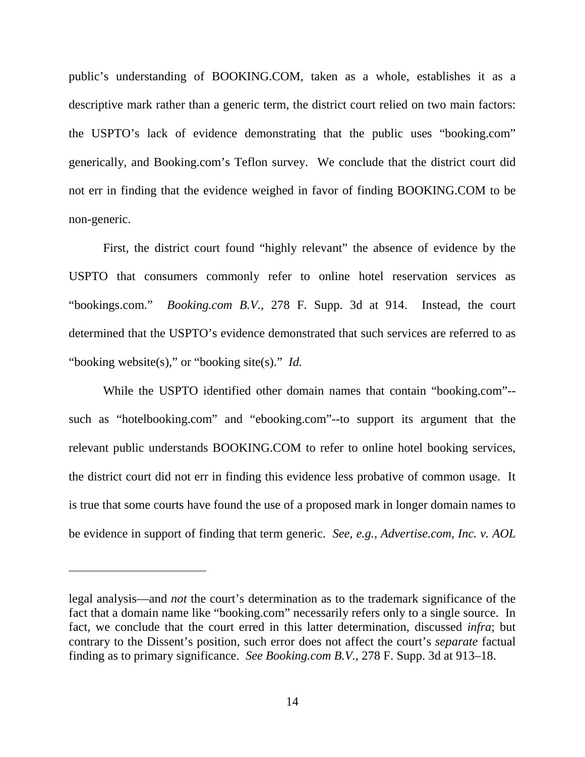public's understanding of BOOKING.COM, taken as a whole, establishes it as a descriptive mark rather than a generic term, the district court relied on two main factors: the USPTO's lack of evidence demonstrating that the public uses "booking.com" generically, and Booking.com's Teflon survey. We conclude that the district court did not err in finding that the evidence weighed in favor of finding BOOKING.COM to be non-generic.

First, the district court found "highly relevant" the absence of evidence by the USPTO that consumers commonly refer to online hotel reservation services as "bookings.com." *Booking.com B.V.*, 278 F. Supp. 3d at 914. Instead, the court determined that the USPTO's evidence demonstrated that such services are referred to as "booking website(s)," or "booking site(s)." *Id.*

While the USPTO identified other domain names that contain "booking.com"- such as "hotelbooking.com" and "ebooking.com"--to support its argument that the relevant public understands BOOKING.COM to refer to online hotel booking services, the district court did not err in finding this evidence less probative of common usage. It is true that some courts have found the use of a proposed mark in longer domain names to be evidence in support of finding that term generic. *See, e.g.*, *Advertise.com, Inc. v. AOL* 

 $\overline{a}$ 

legal analysis—and *not* the court's determination as to the trademark significance of the fact that a domain name like "booking.com" necessarily refers only to a single source. In fact, we conclude that the court erred in this latter determination, discussed *infra*; but contrary to the Dissent's position, such error does not affect the court's *separate* factual finding as to primary significance. *See Booking.com B.V.*, 278 F. Supp. 3d at 913–18.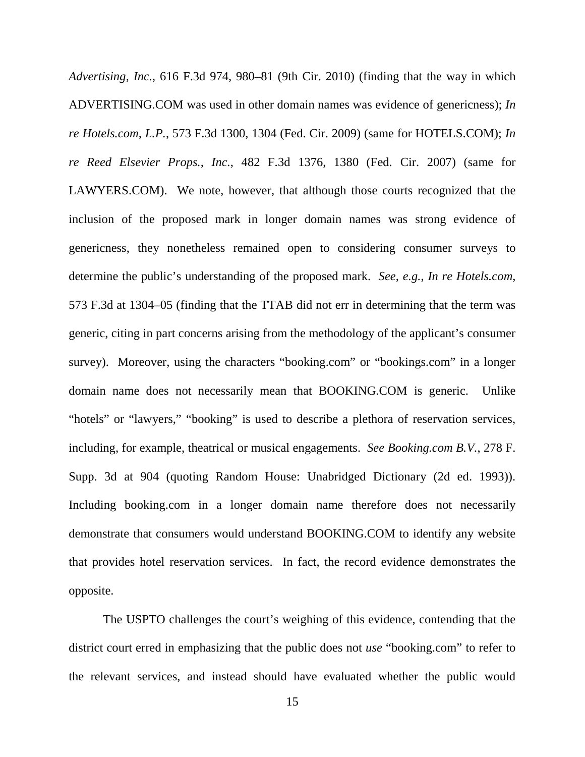*Advertising, Inc.*, 616 F.3d 974, 980–81 (9th Cir. 2010) (finding that the way in which ADVERTISING.COM was used in other domain names was evidence of genericness); *In re Hotels.com, L.P.*, 573 F.3d 1300, 1304 (Fed. Cir. 2009) (same for HOTELS.COM); *In re Reed Elsevier Props., Inc.*, 482 F.3d 1376, 1380 (Fed. Cir. 2007) (same for LAWYERS.COM). We note, however, that although those courts recognized that the inclusion of the proposed mark in longer domain names was strong evidence of genericness, they nonetheless remained open to considering consumer surveys to determine the public's understanding of the proposed mark. *See, e.g.*, *In re Hotels.com*, 573 F.3d at 1304–05 (finding that the TTAB did not err in determining that the term was generic, citing in part concerns arising from the methodology of the applicant's consumer survey). Moreover, using the characters "booking.com" or "bookings.com" in a longer domain name does not necessarily mean that BOOKING.COM is generic. Unlike "hotels" or "lawyers," "booking" is used to describe a plethora of reservation services, including, for example, theatrical or musical engagements. *See Booking.com B.V.*, 278 F. Supp. 3d at 904 (quoting Random House: Unabridged Dictionary (2d ed. 1993)). Including booking.com in a longer domain name therefore does not necessarily demonstrate that consumers would understand BOOKING.COM to identify any website that provides hotel reservation services. In fact, the record evidence demonstrates the opposite.

The USPTO challenges the court's weighing of this evidence, contending that the district court erred in emphasizing that the public does not *use* "booking.com" to refer to the relevant services, and instead should have evaluated whether the public would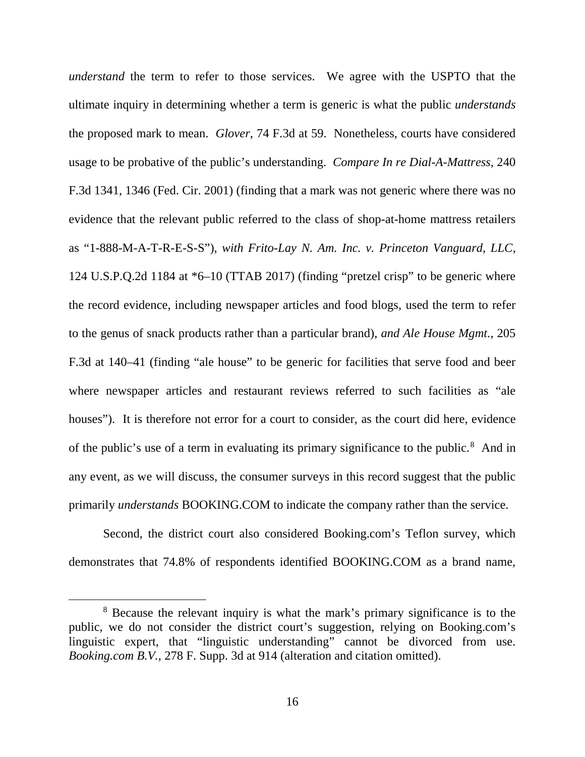*understand* the term to refer to those services. We agree with the USPTO that the ultimate inquiry in determining whether a term is generic is what the public *understands* the proposed mark to mean. *Glover*, 74 F.3d at 59. Nonetheless, courts have considered usage to be probative of the public's understanding. *Compare In re Dial-A-Mattress*, 240 F.3d 1341, 1346 (Fed. Cir. 2001) (finding that a mark was not generic where there was no evidence that the relevant public referred to the class of shop-at-home mattress retailers as "1-888-M-A-T-R-E-S-S"), *with Frito-Lay N. Am. Inc. v. Princeton Vanguard, LLC*, 124 U.S.P.Q.2d 1184 at \*6–10 (TTAB 2017) (finding "pretzel crisp" to be generic where the record evidence, including newspaper articles and food blogs, used the term to refer to the genus of snack products rather than a particular brand), *and Ale House Mgmt.*, 205 F.3d at 140–41 (finding "ale house" to be generic for facilities that serve food and beer where newspaper articles and restaurant reviews referred to such facilities as "ale houses"). It is therefore not error for a court to consider, as the court did here, evidence of the public's use of a term in evaluating its primary significance to the public.<sup>[8](#page-15-0)</sup> And in any event, as we will discuss, the consumer surveys in this record suggest that the public primarily *understands* BOOKING.COM to indicate the company rather than the service.

Second, the district court also considered Booking.com's Teflon survey, which demonstrates that 74.8% of respondents identified BOOKING.COM as a brand name,

<span id="page-15-0"></span> <sup>8</sup> Because the relevant inquiry is what the mark's primary significance is to the public, we do not consider the district court's suggestion, relying on Booking.com's linguistic expert, that "linguistic understanding" cannot be divorced from use. *Booking.com B.V.*, 278 F. Supp. 3d at 914 (alteration and citation omitted).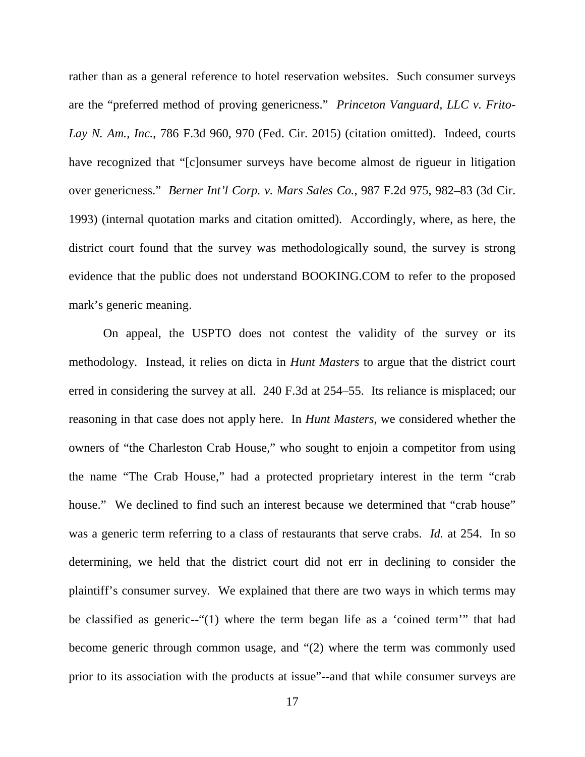rather than as a general reference to hotel reservation websites. Such consumer surveys are the "preferred method of proving genericness." *Princeton Vanguard, LLC v. Frito-Lay N. Am., Inc.*, 786 F.3d 960, 970 (Fed. Cir. 2015) (citation omitted). Indeed, courts have recognized that "[c]onsumer surveys have become almost de rigueur in litigation over genericness." *Berner Int'l Corp. v. Mars Sales Co.*, 987 F.2d 975, 982–83 (3d Cir. 1993) (internal quotation marks and citation omitted). Accordingly, where, as here, the district court found that the survey was methodologically sound, the survey is strong evidence that the public does not understand BOOKING.COM to refer to the proposed mark's generic meaning.

On appeal, the USPTO does not contest the validity of the survey or its methodology. Instead, it relies on dicta in *Hunt Masters* to argue that the district court erred in considering the survey at all. 240 F.3d at 254–55. Its reliance is misplaced; our reasoning in that case does not apply here. In *Hunt Masters*, we considered whether the owners of "the Charleston Crab House," who sought to enjoin a competitor from using the name "The Crab House," had a protected proprietary interest in the term "crab house." We declined to find such an interest because we determined that "crab house" was a generic term referring to a class of restaurants that serve crabs. *Id.* at 254. In so determining, we held that the district court did not err in declining to consider the plaintiff's consumer survey. We explained that there are two ways in which terms may be classified as generic--"(1) where the term began life as a 'coined term'" that had become generic through common usage, and "(2) where the term was commonly used prior to its association with the products at issue"--and that while consumer surveys are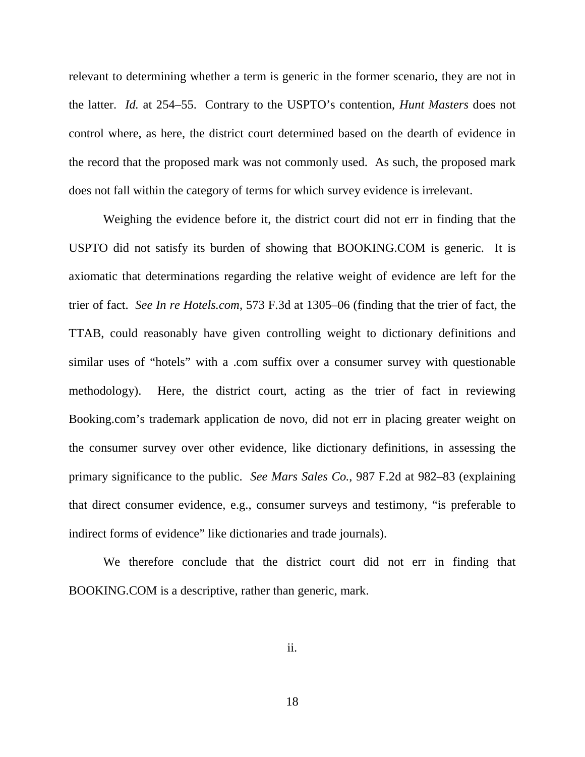relevant to determining whether a term is generic in the former scenario, they are not in the latter. *Id.* at 254–55. Contrary to the USPTO's contention, *Hunt Masters* does not control where, as here, the district court determined based on the dearth of evidence in the record that the proposed mark was not commonly used. As such, the proposed mark does not fall within the category of terms for which survey evidence is irrelevant.

Weighing the evidence before it, the district court did not err in finding that the USPTO did not satisfy its burden of showing that BOOKING.COM is generic. It is axiomatic that determinations regarding the relative weight of evidence are left for the trier of fact. *See In re Hotels.com*, 573 F.3d at 1305–06 (finding that the trier of fact, the TTAB, could reasonably have given controlling weight to dictionary definitions and similar uses of "hotels" with a .com suffix over a consumer survey with questionable methodology). Here, the district court, acting as the trier of fact in reviewing Booking.com's trademark application de novo, did not err in placing greater weight on the consumer survey over other evidence, like dictionary definitions, in assessing the primary significance to the public. *See Mars Sales Co.*, 987 F.2d at 982–83 (explaining that direct consumer evidence, e.g., consumer surveys and testimony, "is preferable to indirect forms of evidence" like dictionaries and trade journals).

We therefore conclude that the district court did not err in finding that BOOKING.COM is a descriptive, rather than generic, mark.

ii.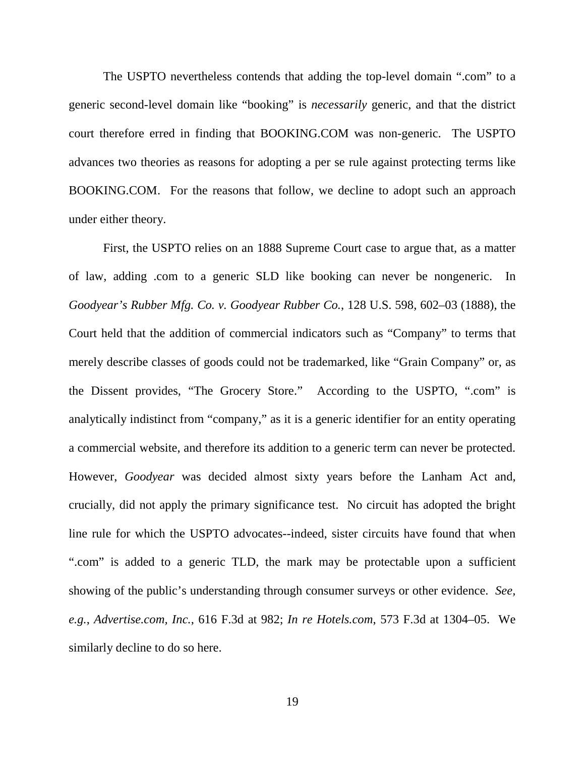The USPTO nevertheless contends that adding the top-level domain ".com" to a generic second-level domain like "booking" is *necessarily* generic, and that the district court therefore erred in finding that BOOKING.COM was non-generic. The USPTO advances two theories as reasons for adopting a per se rule against protecting terms like BOOKING.COM. For the reasons that follow, we decline to adopt such an approach under either theory.

First, the USPTO relies on an 1888 Supreme Court case to argue that, as a matter of law, adding .com to a generic SLD like booking can never be nongeneric. In *Goodyear's Rubber Mfg. Co. v. Goodyear Rubber Co.*, 128 U.S. 598, 602–03 (1888), the Court held that the addition of commercial indicators such as "Company" to terms that merely describe classes of goods could not be trademarked, like "Grain Company" or, as the Dissent provides, "The Grocery Store." According to the USPTO, ".com" is analytically indistinct from "company," as it is a generic identifier for an entity operating a commercial website, and therefore its addition to a generic term can never be protected. However, *Goodyear* was decided almost sixty years before the Lanham Act and, crucially, did not apply the primary significance test. No circuit has adopted the bright line rule for which the USPTO advocates--indeed, sister circuits have found that when ".com" is added to a generic TLD, the mark may be protectable upon a sufficient showing of the public's understanding through consumer surveys or other evidence. *See, e.g.*, *Advertise.com, Inc.*, 616 F.3d at 982; *In re Hotels.com*, 573 F.3d at 1304–05. We similarly decline to do so here.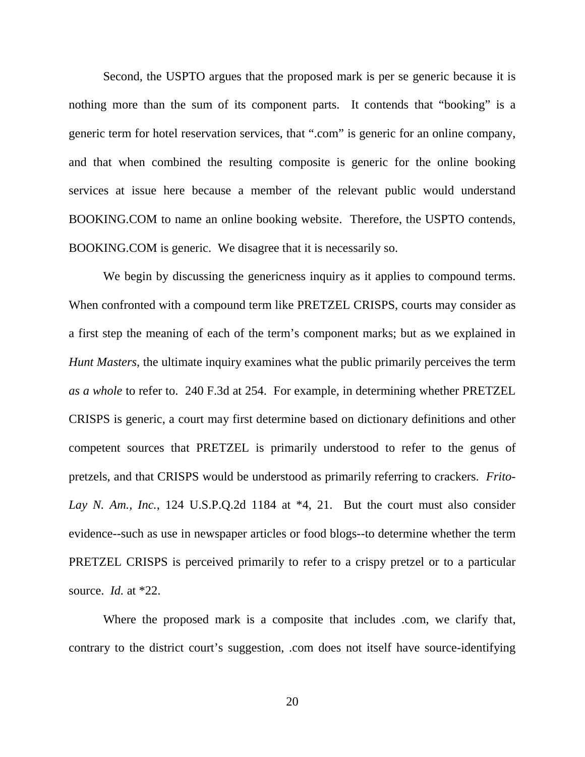Second, the USPTO argues that the proposed mark is per se generic because it is nothing more than the sum of its component parts. It contends that "booking" is a generic term for hotel reservation services, that ".com" is generic for an online company, and that when combined the resulting composite is generic for the online booking services at issue here because a member of the relevant public would understand BOOKING.COM to name an online booking website. Therefore, the USPTO contends, BOOKING.COM is generic. We disagree that it is necessarily so.

We begin by discussing the genericness inquiry as it applies to compound terms. When confronted with a compound term like PRETZEL CRISPS, courts may consider as a first step the meaning of each of the term's component marks; but as we explained in *Hunt Masters*, the ultimate inquiry examines what the public primarily perceives the term *as a whole* to refer to. 240 F.3d at 254. For example, in determining whether PRETZEL CRISPS is generic, a court may first determine based on dictionary definitions and other competent sources that PRETZEL is primarily understood to refer to the genus of pretzels, and that CRISPS would be understood as primarily referring to crackers. *Frito-Lay N. Am., Inc.*, 124 U.S.P.Q.2d 1184 at \*4, 21. But the court must also consider evidence--such as use in newspaper articles or food blogs--to determine whether the term PRETZEL CRISPS is perceived primarily to refer to a crispy pretzel or to a particular source. *Id.* at \*22.

Where the proposed mark is a composite that includes .com, we clarify that, contrary to the district court's suggestion, .com does not itself have source-identifying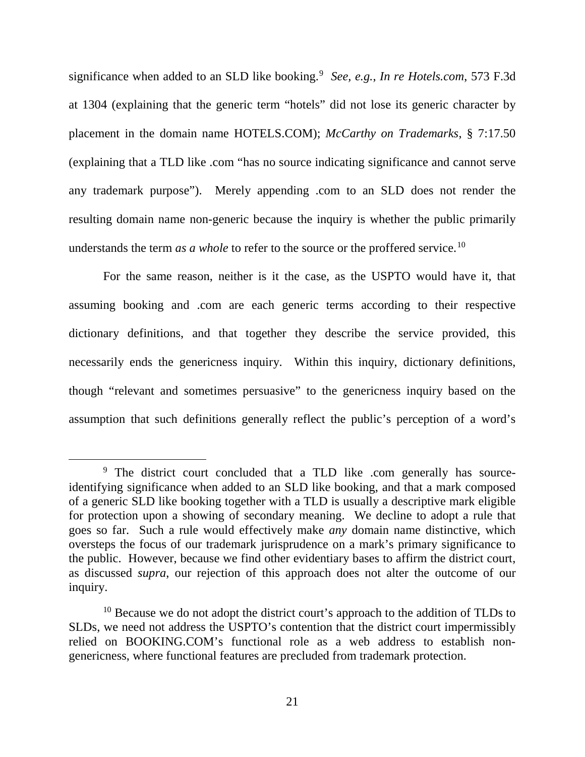significance when added to an SLD like booking.<sup>[9](#page-20-0)</sup> See, e.g., In re Hotels.com, 573 F.3d at 1304 (explaining that the generic term "hotels" did not lose its generic character by placement in the domain name HOTELS.COM); *McCarthy on Trademarks*, § 7:17.50 (explaining that a TLD like .com "has no source indicating significance and cannot serve any trademark purpose"). Merely appending .com to an SLD does not render the resulting domain name non-generic because the inquiry is whether the public primarily understands the term *as a whole* to refer to the source or the proffered service.<sup>[10](#page-20-1)</sup>

For the same reason, neither is it the case, as the USPTO would have it, that assuming booking and .com are each generic terms according to their respective dictionary definitions, and that together they describe the service provided, this necessarily ends the genericness inquiry. Within this inquiry, dictionary definitions, though "relevant and sometimes persuasive" to the genericness inquiry based on the assumption that such definitions generally reflect the public's perception of a word's

<span id="page-20-0"></span><sup>&</sup>lt;sup>9</sup> The district court concluded that a TLD like .com generally has sourceidentifying significance when added to an SLD like booking, and that a mark composed of a generic SLD like booking together with a TLD is usually a descriptive mark eligible for protection upon a showing of secondary meaning. We decline to adopt a rule that goes so far. Such a rule would effectively make *any* domain name distinctive, which oversteps the focus of our trademark jurisprudence on a mark's primary significance to the public. However, because we find other evidentiary bases to affirm the district court, as discussed *supra*, our rejection of this approach does not alter the outcome of our inquiry.

<span id="page-20-1"></span><sup>&</sup>lt;sup>10</sup> Because we do not adopt the district court's approach to the addition of TLDs to SLDs, we need not address the USPTO's contention that the district court impermissibly relied on BOOKING.COM's functional role as a web address to establish nongenericness, where functional features are precluded from trademark protection.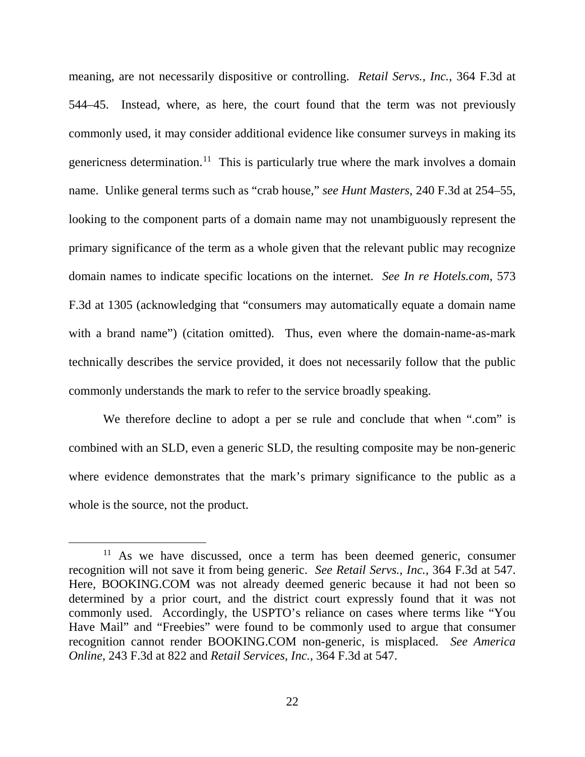meaning, are not necessarily dispositive or controlling. *Retail Servs., Inc.*, 364 F.3d at 544–45. Instead, where, as here, the court found that the term was not previously commonly used, it may consider additional evidence like consumer surveys in making its genericness determination.<sup>[11](#page-21-0)</sup> This is particularly true where the mark involves a domain name. Unlike general terms such as "crab house," *see Hunt Masters*, 240 F.3d at 254–55, looking to the component parts of a domain name may not unambiguously represent the primary significance of the term as a whole given that the relevant public may recognize domain names to indicate specific locations on the internet. *See In re Hotels.com*, 573 F.3d at 1305 (acknowledging that "consumers may automatically equate a domain name with a brand name") (citation omitted). Thus, even where the domain-name-as-mark technically describes the service provided, it does not necessarily follow that the public commonly understands the mark to refer to the service broadly speaking.

We therefore decline to adopt a per se rule and conclude that when ".com" is combined with an SLD, even a generic SLD, the resulting composite may be non-generic where evidence demonstrates that the mark's primary significance to the public as a whole is the source, not the product.

<span id="page-21-0"></span> $11$  As we have discussed, once a term has been deemed generic, consumer recognition will not save it from being generic. *See Retail Servs., Inc.*, 364 F.3d at 547. Here, BOOKING.COM was not already deemed generic because it had not been so determined by a prior court, and the district court expressly found that it was not commonly used. Accordingly, the USPTO's reliance on cases where terms like "You Have Mail" and "Freebies" were found to be commonly used to argue that consumer recognition cannot render BOOKING.COM non-generic, is misplaced. *See America Online*, 243 F.3d at 822 and *Retail Services, Inc.*, 364 F.3d at 547.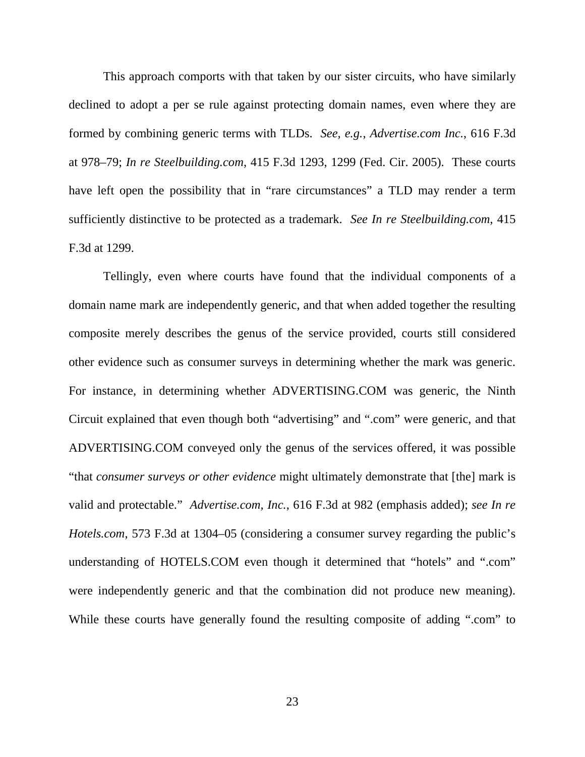This approach comports with that taken by our sister circuits, who have similarly declined to adopt a per se rule against protecting domain names, even where they are formed by combining generic terms with TLDs. *See, e.g.*, *Advertise.com Inc.*, 616 F.3d at 978–79; *In re Steelbuilding.com*, 415 F.3d 1293, 1299 (Fed. Cir. 2005). These courts have left open the possibility that in "rare circumstances" a TLD may render a term sufficiently distinctive to be protected as a trademark. *See In re Steelbuilding.com*, 415 F.3d at 1299.

Tellingly, even where courts have found that the individual components of a domain name mark are independently generic, and that when added together the resulting composite merely describes the genus of the service provided, courts still considered other evidence such as consumer surveys in determining whether the mark was generic. For instance, in determining whether ADVERTISING.COM was generic, the Ninth Circuit explained that even though both "advertising" and ".com" were generic, and that ADVERTISING.COM conveyed only the genus of the services offered, it was possible "that *consumer surveys or other evidence* might ultimately demonstrate that [the] mark is valid and protectable." *Advertise.com, Inc.*, 616 F.3d at 982 (emphasis added); *see In re Hotels.com*, 573 F.3d at 1304–05 (considering a consumer survey regarding the public's understanding of HOTELS.COM even though it determined that "hotels" and ".com" were independently generic and that the combination did not produce new meaning). While these courts have generally found the resulting composite of adding ".com" to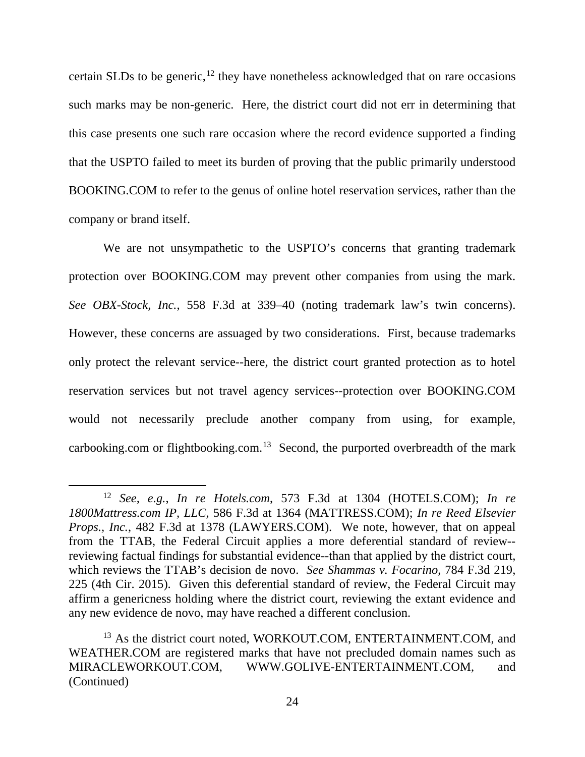certain SLDs to be generic,  $12$  they have nonetheless acknowledged that on rare occasions such marks may be non-generic. Here, the district court did not err in determining that this case presents one such rare occasion where the record evidence supported a finding that the USPTO failed to meet its burden of proving that the public primarily understood BOOKING.COM to refer to the genus of online hotel reservation services, rather than the company or brand itself.

We are not unsympathetic to the USPTO's concerns that granting trademark protection over BOOKING.COM may prevent other companies from using the mark. *See OBX-Stock, Inc.*, 558 F.3d at 339–40 (noting trademark law's twin concerns). However, these concerns are assuaged by two considerations. First, because trademarks only protect the relevant service--here, the district court granted protection as to hotel reservation services but not travel agency services--protection over BOOKING.COM would not necessarily preclude another company from using, for example, carbooking.com or flightbooking.com.<sup>13</sup> Second, the purported overbreadth of the mark

<span id="page-23-0"></span> <sup>12</sup> *See, e.g.*, *In re Hotels.com*, 573 F.3d at 1304 (HOTELS.COM); *In re 1800Mattress.com IP, LLC*, 586 F.3d at 1364 (MATTRESS.COM); *In re Reed Elsevier Props., Inc.*, 482 F.3d at 1378 (LAWYERS.COM).We note, however, that on appeal from the TTAB, the Federal Circuit applies a more deferential standard of review- reviewing factual findings for substantial evidence--than that applied by the district court, which reviews the TTAB's decision de novo. *See Shammas v. Focarino*, 784 F.3d 219, 225 (4th Cir. 2015). Given this deferential standard of review, the Federal Circuit may affirm a genericness holding where the district court, reviewing the extant evidence and any new evidence de novo, may have reached a different conclusion.

<span id="page-23-1"></span><sup>&</sup>lt;sup>13</sup> As the district court noted, WORKOUT.COM, ENTERTAINMENT.COM, and WEATHER.COM are registered marks that have not precluded domain names such as MIRACLEWORKOUT.COM, WWW.GOLIVE-ENTERTAINMENT.COM, and (Continued)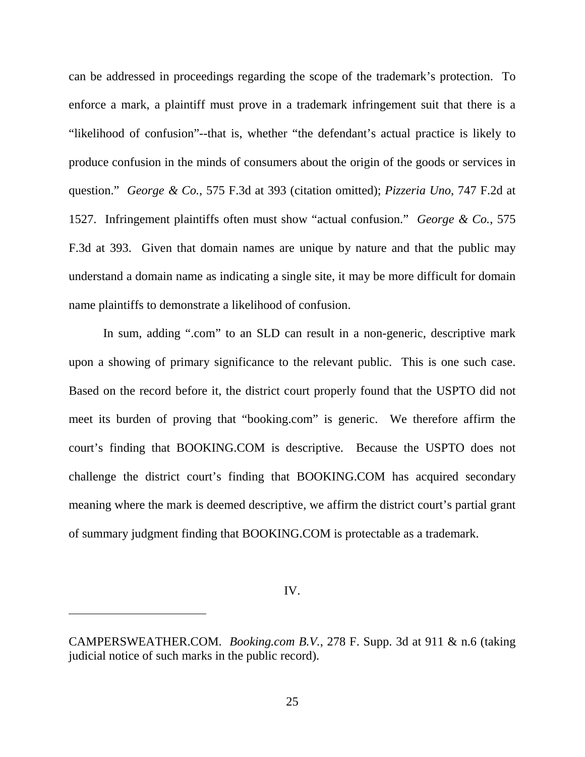can be addressed in proceedings regarding the scope of the trademark's protection. To enforce a mark, a plaintiff must prove in a trademark infringement suit that there is a "likelihood of confusion"--that is, whether "the defendant's actual practice is likely to produce confusion in the minds of consumers about the origin of the goods or services in question." *George & Co.*, 575 F.3d at 393 (citation omitted); *Pizzeria Uno*, 747 F.2d at 1527. Infringement plaintiffs often must show "actual confusion." *George & Co.*, 575 F.3d at 393. Given that domain names are unique by nature and that the public may understand a domain name as indicating a single site, it may be more difficult for domain name plaintiffs to demonstrate a likelihood of confusion.

In sum, adding ".com" to an SLD can result in a non-generic, descriptive mark upon a showing of primary significance to the relevant public. This is one such case. Based on the record before it, the district court properly found that the USPTO did not meet its burden of proving that "booking.com" is generic. We therefore affirm the court's finding that BOOKING.COM is descriptive. Because the USPTO does not challenge the district court's finding that BOOKING.COM has acquired secondary meaning where the mark is deemed descriptive, we affirm the district court's partial grant of summary judgment finding that BOOKING.COM is protectable as a trademark.

IV.

 $\overline{a}$ 

CAMPERSWEATHER.COM. *Booking.com B.V.*, 278 F. Supp. 3d at 911 & n.6 (taking judicial notice of such marks in the public record).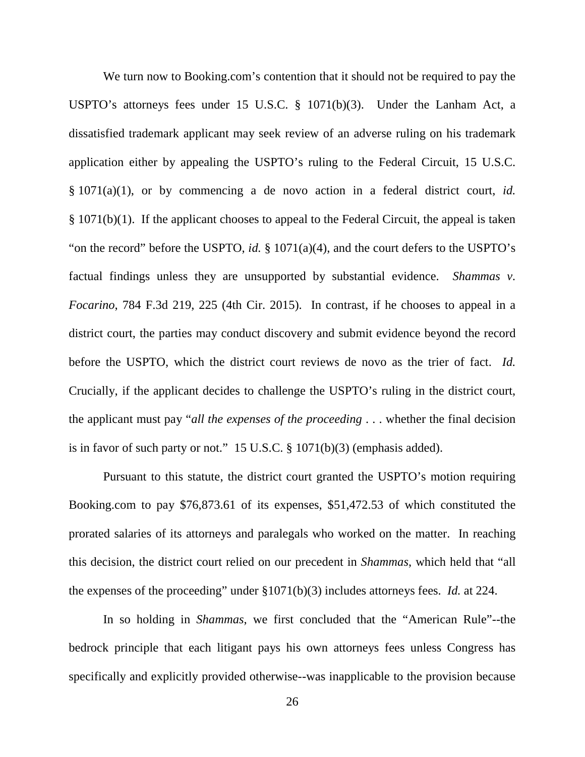We turn now to Booking.com's contention that it should not be required to pay the USPTO's attorneys fees under 15 U.S.C. § 1071(b)(3). Under the Lanham Act, a dissatisfied trademark applicant may seek review of an adverse ruling on his trademark application either by appealing the USPTO's ruling to the Federal Circuit, 15 U.S.C. § 1071(a)(1), or by commencing a de novo action in a federal district court, *id.*  § 1071(b)(1). If the applicant chooses to appeal to the Federal Circuit, the appeal is taken "on the record" before the USPTO, *id.* § 1071(a)(4), and the court defers to the USPTO's factual findings unless they are unsupported by substantial evidence. *Shammas v. Focarino*, 784 F.3d 219, 225 (4th Cir. 2015). In contrast, if he chooses to appeal in a district court, the parties may conduct discovery and submit evidence beyond the record before the USPTO, which the district court reviews de novo as the trier of fact. *Id.* Crucially, if the applicant decides to challenge the USPTO's ruling in the district court, the applicant must pay "*all the expenses of the proceeding* . . . whether the final decision is in favor of such party or not." 15 U.S.C. § 1071(b)(3) (emphasis added).

Pursuant to this statute, the district court granted the USPTO's motion requiring Booking.com to pay \$76,873.61 of its expenses, \$51,472.53 of which constituted the prorated salaries of its attorneys and paralegals who worked on the matter. In reaching this decision, the district court relied on our precedent in *Shammas*, which held that "all the expenses of the proceeding" under §1071(b)(3) includes attorneys fees. *Id.* at 224.

In so holding in *Shammas*, we first concluded that the "American Rule"--the bedrock principle that each litigant pays his own attorneys fees unless Congress has specifically and explicitly provided otherwise--was inapplicable to the provision because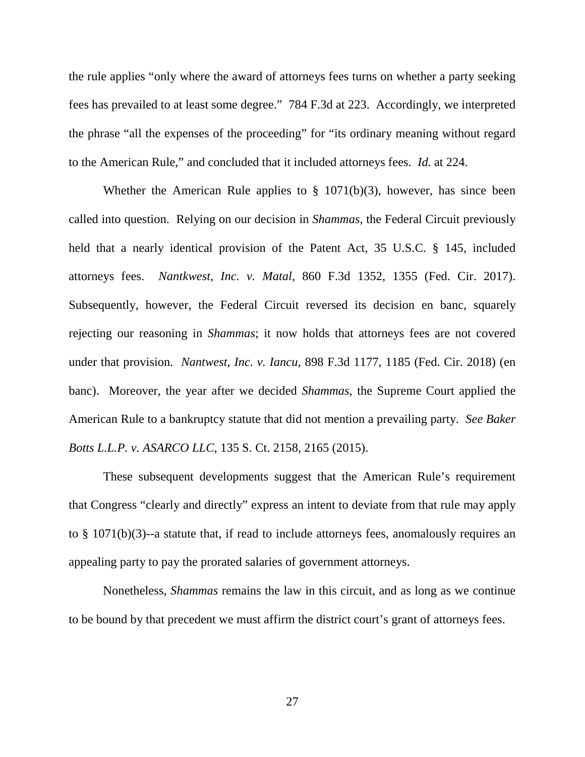the rule applies "only where the award of attorneys fees turns on whether a party seeking fees has prevailed to at least some degree." 784 F.3d at 223. Accordingly, we interpreted the phrase "all the expenses of the proceeding" for "its ordinary meaning without regard to the American Rule," and concluded that it included attorneys fees. *Id.* at 224.

Whether the American Rule applies to  $\S$  1071(b)(3), however, has since been called into question. Relying on our decision in *Shammas*, the Federal Circuit previously held that a nearly identical provision of the Patent Act, 35 U.S.C. § 145, included attorneys fees. *Nantkwest, Inc. v. Matal*, 860 F.3d 1352, 1355 (Fed. Cir. 2017). Subsequently, however, the Federal Circuit reversed its decision en banc, squarely rejecting our reasoning in *Shammas*; it now holds that attorneys fees are not covered under that provision. *Nantwest, Inc. v. Iancu*, 898 F.3d 1177, 1185 (Fed. Cir. 2018) (en banc).Moreover, the year after we decided *Shammas*, the Supreme Court applied the American Rule to a bankruptcy statute that did not mention a prevailing party. *See Baker Botts L.L.P. v. ASARCO LLC*, 135 S. Ct. 2158, 2165 (2015).

These subsequent developments suggest that the American Rule's requirement that Congress "clearly and directly" express an intent to deviate from that rule may apply to § 1071(b)(3)--a statute that, if read to include attorneys fees, anomalously requires an appealing party to pay the prorated salaries of government attorneys.

Nonetheless, *Shammas* remains the law in this circuit, and as long as we continue to be bound by that precedent we must affirm the district court's grant of attorneys fees.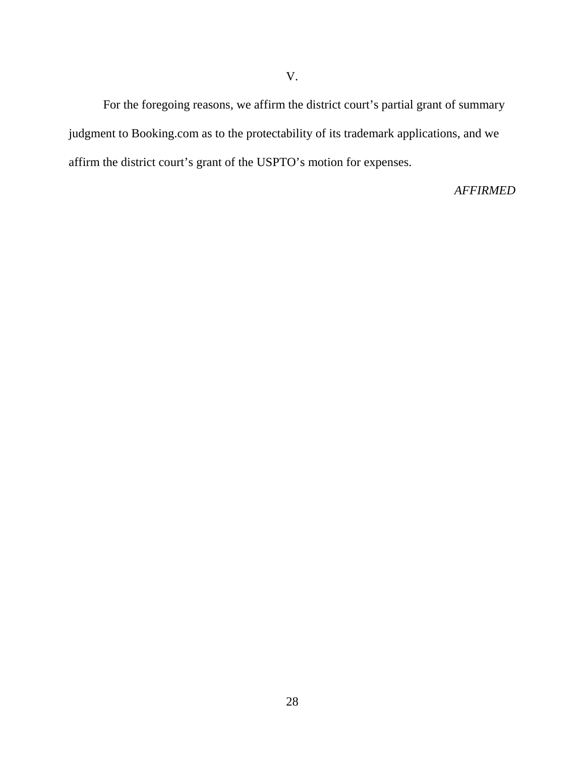For the foregoing reasons, we affirm the district court's partial grant of summary judgment to Booking.com as to the protectability of its trademark applications, and we affirm the district court's grant of the USPTO's motion for expenses.

*AFFIRMED*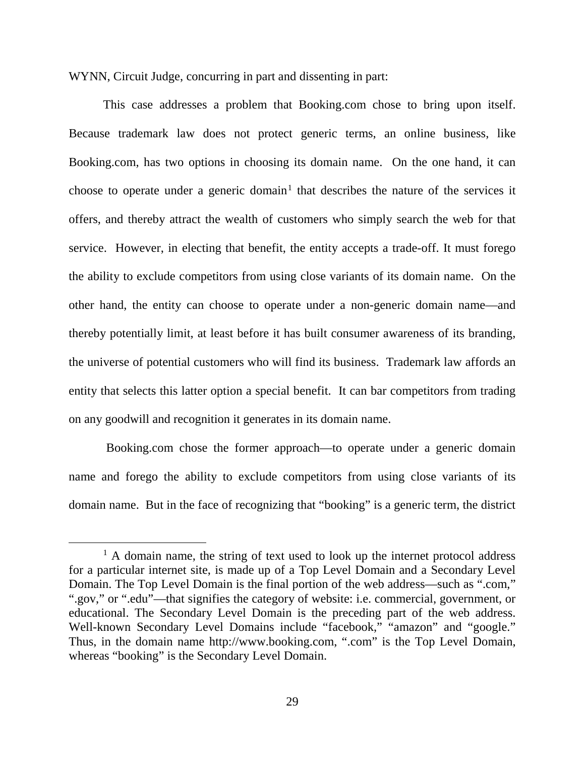WYNN, Circuit Judge, concurring in part and dissenting in part:

This case addresses a problem that Booking.com chose to bring upon itself. Because trademark law does not protect generic terms, an online business, like Booking.com, has two options in choosing its domain name. On the one hand, it can choose to operate under a generic domain<sup>[1](#page-28-0)</sup> that describes the nature of the services it offers, and thereby attract the wealth of customers who simply search the web for that service. However, in electing that benefit, the entity accepts a trade-off. It must forego the ability to exclude competitors from using close variants of its domain name. On the other hand, the entity can choose to operate under a non-generic domain name—and thereby potentially limit, at least before it has built consumer awareness of its branding, the universe of potential customers who will find its business. Trademark law affords an entity that selects this latter option a special benefit. It can bar competitors from trading on any goodwill and recognition it generates in its domain name.

Booking.com chose the former approach—to operate under a generic domain name and forego the ability to exclude competitors from using close variants of its domain name. But in the face of recognizing that "booking" is a generic term, the district

<span id="page-28-0"></span><sup>&</sup>lt;sup>1</sup> A domain name, the string of text used to look up the internet protocol address for a particular internet site, is made up of a Top Level Domain and a Secondary Level Domain. The Top Level Domain is the final portion of the web address—such as ".com," ".gov," or ".edu"—that signifies the category of website: i.e. commercial, government, or educational. The Secondary Level Domain is the preceding part of the web address. Well-known Secondary Level Domains include "facebook," "amazon" and "google." Thus, in the domain name http://www.booking.com, ".com" is the Top Level Domain, whereas "booking" is the Secondary Level Domain.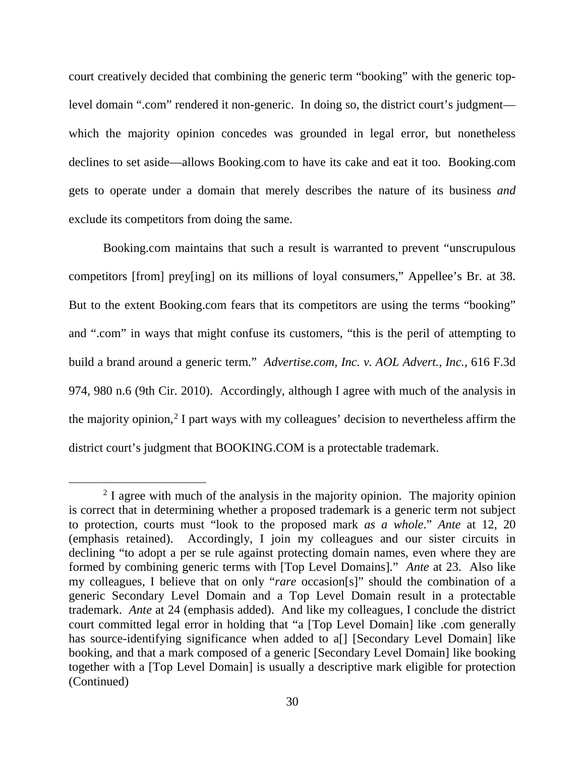court creatively decided that combining the generic term "booking" with the generic toplevel domain ".com" rendered it non-generic. In doing so, the district court's judgment which the majority opinion concedes was grounded in legal error, but nonetheless declines to set aside—allows Booking.com to have its cake and eat it too. Booking.com gets to operate under a domain that merely describes the nature of its business *and* exclude its competitors from doing the same.

Booking.com maintains that such a result is warranted to prevent "unscrupulous competitors [from] prey[ing] on its millions of loyal consumers," Appellee's Br. at 38. But to the extent Booking.com fears that its competitors are using the terms "booking" and ".com" in ways that might confuse its customers, "this is the peril of attempting to build a brand around a generic term." *Advertise.com, Inc. v. AOL Advert., Inc.*, 616 F.3d 974, 980 n.6 (9th Cir. 2010). Accordingly, although I agree with much of the analysis in the majority opinion,<sup>[2](#page-29-0)</sup> I part ways with my colleagues' decision to nevertheless affirm the district court's judgment that BOOKING.COM is a protectable trademark.

<span id="page-29-0"></span> $2$  I agree with much of the analysis in the majority opinion. The majority opinion is correct that in determining whether a proposed trademark is a generic term not subject to protection, courts must "look to the proposed mark *as a whole*." *Ante* at 12, 20 (emphasis retained). Accordingly, I join my colleagues and our sister circuits in declining "to adopt a per se rule against protecting domain names, even where they are formed by combining generic terms with [Top Level Domains]." *Ante* at 23. Also like my colleagues, I believe that on only "*rare* occasion[s]" should the combination of a generic Secondary Level Domain and a Top Level Domain result in a protectable trademark. *Ante* at 24 (emphasis added). And like my colleagues, I conclude the district court committed legal error in holding that "a [Top Level Domain] like .com generally has source-identifying significance when added to a<sup>[]</sup> [Secondary Level Domain] like booking, and that a mark composed of a generic [Secondary Level Domain] like booking together with a [Top Level Domain] is usually a descriptive mark eligible for protection (Continued)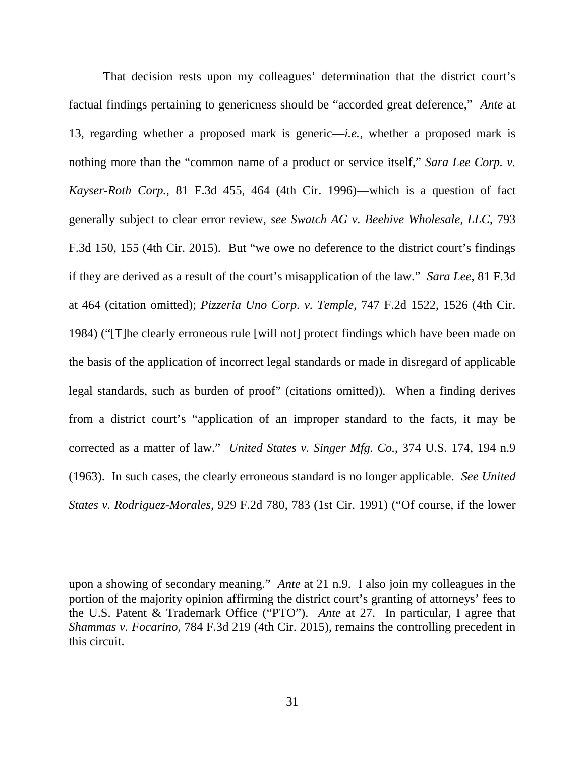That decision rests upon my colleagues' determination that the district court's factual findings pertaining to genericness should be "accorded great deference," *Ante* at 13, regarding whether a proposed mark is generic—*i.e.*, whether a proposed mark is nothing more than the "common name of a product or service itself," *Sara Lee Corp. v. Kayser-Roth Corp.*, 81 F.3d 455, 464 (4th Cir. 1996)—which is a question of fact generally subject to clear error review, *see Swatch AG v. Beehive Wholesale, LLC*, 793 F.3d 150, 155 (4th Cir. 2015). But "we owe no deference to the district court's findings if they are derived as a result of the court's misapplication of the law." *Sara Lee*, 81 F.3d at 464 (citation omitted); *Pizzeria Uno Corp. v. Temple*, 747 F.2d 1522, 1526 (4th Cir. 1984) ("[T]he clearly erroneous rule [will not] protect findings which have been made on the basis of the application of incorrect legal standards or made in disregard of applicable legal standards, such as burden of proof" (citations omitted)). When a finding derives from a district court's "application of an improper standard to the facts, it may be corrected as a matter of law." *United States v. Singer Mfg. Co.*, 374 U.S. 174, 194 n.9 (1963). In such cases, the clearly erroneous standard is no longer applicable. *See United States v. Rodriguez-Morales*, 929 F.2d 780, 783 (1st Cir. 1991) ("Of course, if the lower

 $\overline{a}$ 

upon a showing of secondary meaning." *Ante* at 21 n.9. I also join my colleagues in the portion of the majority opinion affirming the district court's granting of attorneys' fees to the U.S. Patent & Trademark Office ("PTO"). *Ante* at 27. In particular, I agree that *Shammas v. Focarino*, 784 F.3d 219 (4th Cir. 2015), remains the controlling precedent in this circuit.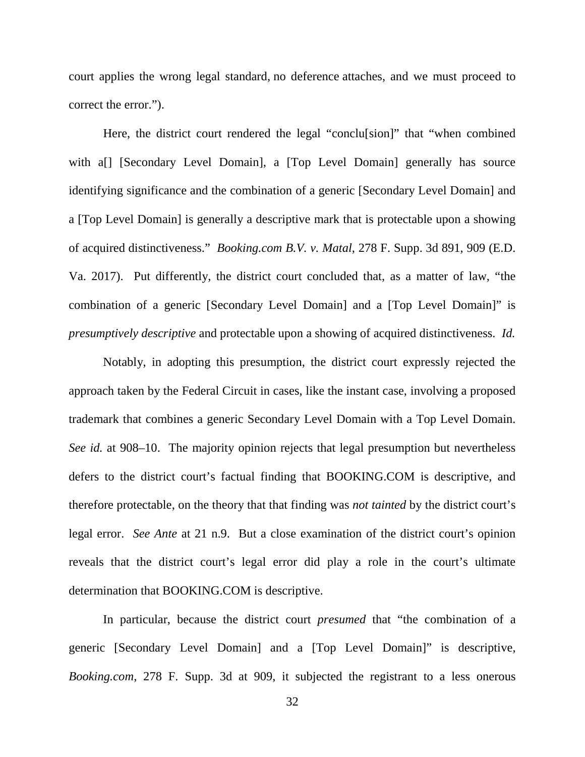court applies the wrong legal standard, no deference attaches, and we must proceed to correct the error.").

Here, the district court rendered the legal "conclu[sion]" that "when combined with a[] [Secondary Level Domain], a [Top Level Domain] generally has source identifying significance and the combination of a generic [Secondary Level Domain] and a [Top Level Domain] is generally a descriptive mark that is protectable upon a showing of acquired distinctiveness." *Booking.com B.V. v. Matal*, 278 F. Supp. 3d 891, 909 (E.D. Va. 2017). Put differently, the district court concluded that, as a matter of law, "the combination of a generic [Secondary Level Domain] and a [Top Level Domain]" is *presumptively descriptive* and protectable upon a showing of acquired distinctiveness. *Id.*

Notably, in adopting this presumption, the district court expressly rejected the approach taken by the Federal Circuit in cases, like the instant case, involving a proposed trademark that combines a generic Secondary Level Domain with a Top Level Domain. *See id.* at 908–10. The majority opinion rejects that legal presumption but nevertheless defers to the district court's factual finding that BOOKING.COM is descriptive, and therefore protectable, on the theory that that finding was *not tainted* by the district court's legal error. *See Ante* at 21 n.9. But a close examination of the district court's opinion reveals that the district court's legal error did play a role in the court's ultimate determination that BOOKING.COM is descriptive.

In particular, because the district court *presumed* that "the combination of a generic [Secondary Level Domain] and a [Top Level Domain]" is descriptive, *Booking.com*, 278 F. Supp. 3d at 909, it subjected the registrant to a less onerous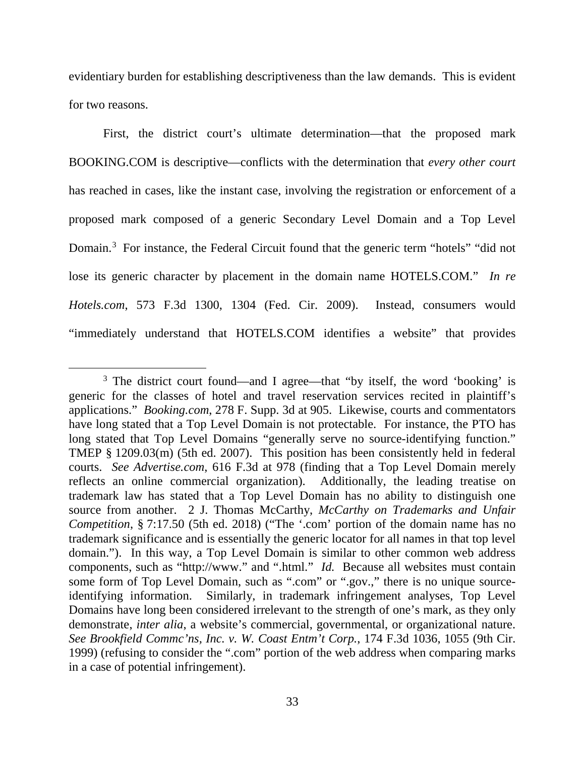evidentiary burden for establishing descriptiveness than the law demands. This is evident for two reasons.

First, the district court's ultimate determination—that the proposed mark BOOKING.COM is descriptive—conflicts with the determination that *every other court* has reached in cases, like the instant case, involving the registration or enforcement of a proposed mark composed of a generic Secondary Level Domain and a Top Level Domain.<sup>[3](#page-32-0)</sup> For instance, the Federal Circuit found that the generic term "hotels" "did not lose its generic character by placement in the domain name HOTELS.COM." *In re Hotels.com*, 573 F.3d 1300, 1304 (Fed. Cir. 2009). Instead, consumers would "immediately understand that HOTELS.COM identifies a website" that provides

<span id="page-32-0"></span><sup>&</sup>lt;sup>3</sup> The district court found—and I agree—that "by itself, the word 'booking' is generic for the classes of hotel and travel reservation services recited in plaintiff's applications." *Booking.com*, 278 F. Supp. 3d at 905. Likewise, courts and commentators have long stated that a Top Level Domain is not protectable. For instance, the PTO has long stated that Top Level Domains "generally serve no source-identifying function." TMEP § 1209.03(m) (5th ed. 2007). This position has been consistently held in federal courts. *See Advertise.com*, 616 F.3d at 978 (finding that a Top Level Domain merely reflects an online commercial organization). Additionally, the leading treatise on trademark law has stated that a Top Level Domain has no ability to distinguish one source from another. 2 J. Thomas McCarthy, *McCarthy on Trademarks and Unfair Competition*, § 7:17.50 (5th ed. 2018) ("The '.com' portion of the domain name has no trademark significance and is essentially the generic locator for all names in that top level domain."). In this way, a Top Level Domain is similar to other common web address components, such as "http://www." and ".html." *Id.* Because all websites must contain some form of Top Level Domain, such as ".com" or ".gov.," there is no unique sourceidentifying information. Similarly, in trademark infringement analyses, Top Level Domains have long been considered irrelevant to the strength of one's mark, as they only demonstrate, *inter alia*, a website's commercial, governmental, or organizational nature. *See Brookfield Commc'ns, Inc. v. W. Coast Entm't Corp.*, 174 F.3d 1036, 1055 (9th Cir. 1999) (refusing to consider the ".com" portion of the web address when comparing marks in a case of potential infringement).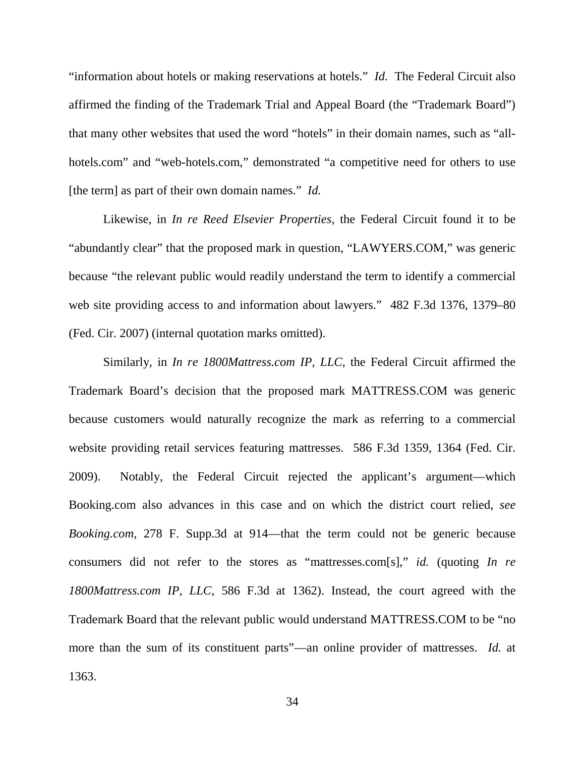"information about hotels or making reservations at hotels." *Id.* The Federal Circuit also affirmed the finding of the Trademark Trial and Appeal Board (the "Trademark Board") that many other websites that used the word "hotels" in their domain names, such as "allhotels.com" and "web-hotels.com," demonstrated "a competitive need for others to use [the term] as part of their own domain names." *Id.*

Likewise, in *In re Reed Elsevier Properties*, the Federal Circuit found it to be "abundantly clear" that the proposed mark in question, "LAWYERS.COM," was generic because "the relevant public would readily understand the term to identify a commercial web site providing access to and information about lawyers." 482 F.3d 1376, 1379–80 (Fed. Cir. 2007) (internal quotation marks omitted).

Similarly, in *In re 1800Mattress.com IP, LLC*, the Federal Circuit affirmed the Trademark Board's decision that the proposed mark MATTRESS.COM was generic because customers would naturally recognize the mark as referring to a commercial website providing retail services featuring mattresses. 586 F.3d 1359, 1364 (Fed. Cir. 2009). Notably, the Federal Circuit rejected the applicant's argument—which Booking.com also advances in this case and on which the district court relied, *see Booking.com*, 278 F. Supp.3d at 914—that the term could not be generic because consumers did not refer to the stores as "mattresses.com[s]," *id.* (quoting *In re 1800Mattress.com IP, LLC*, 586 F.3d at 1362). Instead, the court agreed with the Trademark Board that the relevant public would understand MATTRESS.COM to be "no more than the sum of its constituent parts"—an online provider of mattresses. *Id.* at 1363.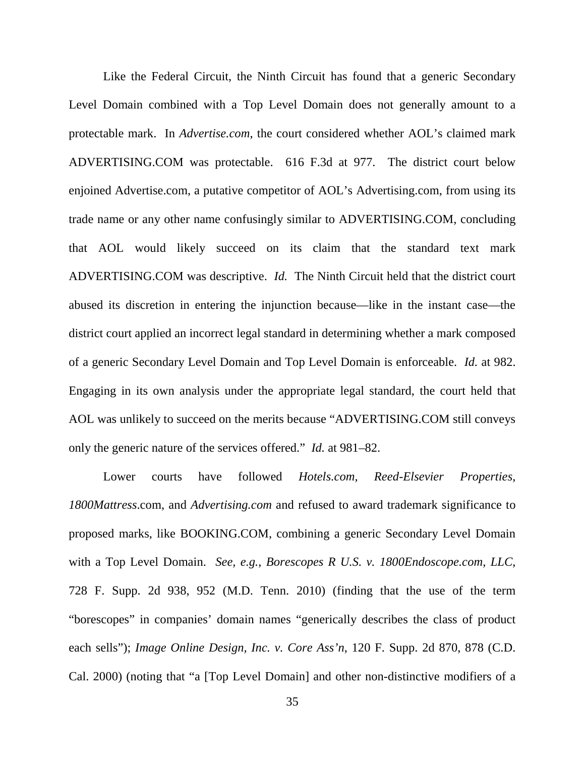Like the Federal Circuit, the Ninth Circuit has found that a generic Secondary Level Domain combined with a Top Level Domain does not generally amount to a protectable mark. In *Advertise.com*, the court considered whether AOL's claimed mark ADVERTISING.COM was protectable. 616 F.3d at 977. The district court below enjoined Advertise.com, a putative competitor of AOL's Advertising.com, from using its trade name or any other name confusingly similar to ADVERTISING.COM, concluding that AOL would likely succeed on its claim that the standard text mark ADVERTISING.COM was descriptive. *Id.* The Ninth Circuit held that the district court abused its discretion in entering the injunction because—like in the instant case—the district court applied an incorrect legal standard in determining whether a mark composed of a generic Secondary Level Domain and Top Level Domain is enforceable. *Id.* at 982. Engaging in its own analysis under the appropriate legal standard, the court held that AOL was unlikely to succeed on the merits because "ADVERTISING.COM still conveys only the generic nature of the services offered." *Id.* at 981–82.

Lower courts have followed *Hotels.com, Reed-Elsevier Properties, 1800Mattress*.com, and *Advertising.com* and refused to award trademark significance to proposed marks, like BOOKING.COM, combining a generic Secondary Level Domain with a Top Level Domain. *See, e.g.*, *Borescopes R U.S. v. 1800Endoscope.com, LLC*, 728 F. Supp. 2d 938, 952 (M.D. Tenn. 2010) (finding that the use of the term "borescopes" in companies' domain names "generically describes the class of product each sells"); *Image Online Design, Inc. v. Core Ass'n*, 120 F. Supp. 2d 870, 878 (C.D. Cal. 2000) (noting that "a [Top Level Domain] and other non-distinctive modifiers of a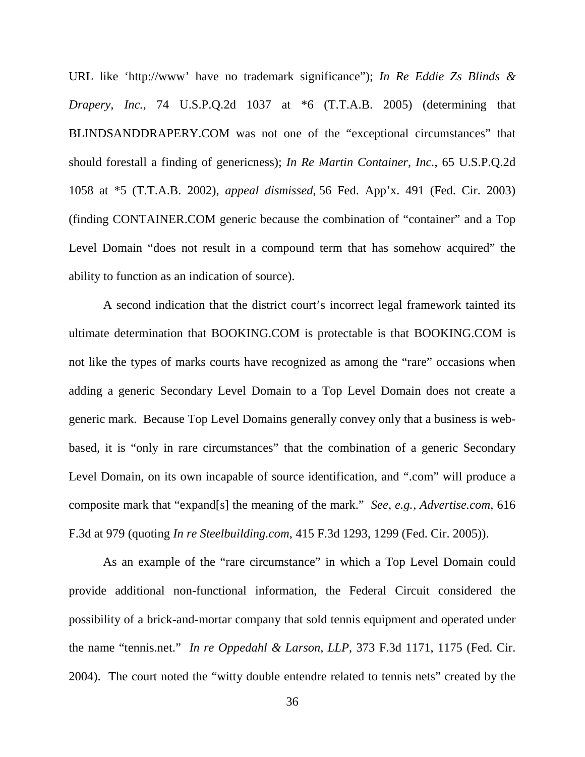URL like 'http://www' have no trademark significance"); *In Re Eddie Zs Blinds & Drapery, Inc.*, 74 U.S.P.Q.2d 1037 at \*6 (T.T.A.B. 2005) (determining that BLINDSANDDRAPERY.COM was not one of the "exceptional circumstances" that should forestall a finding of genericness); *In Re Martin Container, Inc.*, 65 U.S.P.Q.2d 1058 at \*5 (T.T.A.B. 2002), *appeal dismissed*, 56 Fed. App'x. 491 (Fed. Cir. 2003) (finding CONTAINER.COM generic because the combination of "container" and a Top Level Domain "does not result in a compound term that has somehow acquired" the ability to function as an indication of source).

A second indication that the district court's incorrect legal framework tainted its ultimate determination that BOOKING.COM is protectable is that BOOKING.COM is not like the types of marks courts have recognized as among the "rare" occasions when adding a generic Secondary Level Domain to a Top Level Domain does not create a generic mark. Because Top Level Domains generally convey only that a business is webbased, it is "only in rare circumstances" that the combination of a generic Secondary Level Domain, on its own incapable of source identification, and ".com" will produce a composite mark that "expand[s] the meaning of the mark." *See, e.g.*, *Advertise.com*, 616 F.3d at 979 (quoting *In re Steelbuilding.com*, 415 F.3d 1293, 1299 (Fed. Cir. 2005)).

As an example of the "rare circumstance" in which a Top Level Domain could provide additional non-functional information, the Federal Circuit considered the possibility of a brick-and-mortar company that sold tennis equipment and operated under the name "tennis.net." *In re Oppedahl & Larson, LLP*, 373 F.3d 1171, 1175 (Fed. Cir. 2004). The court noted the "witty double entendre related to tennis nets" created by the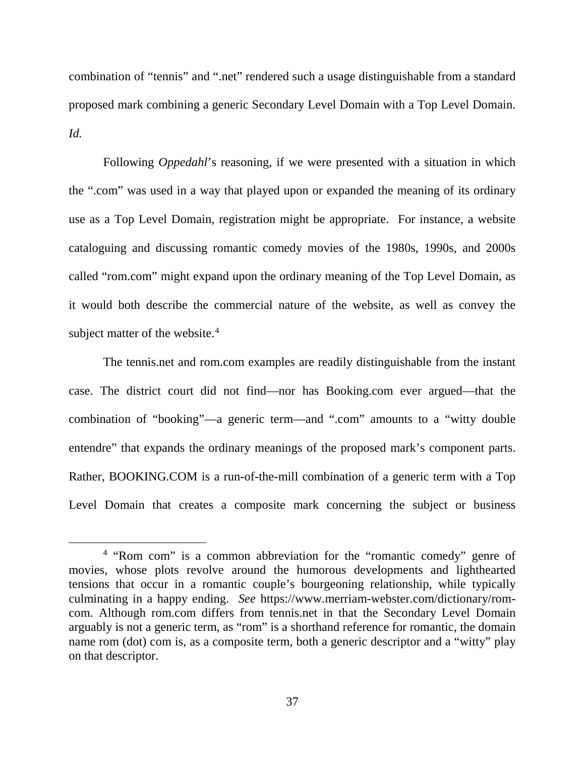combination of "tennis" and ".net" rendered such a usage distinguishable from a standard proposed mark combining a generic Secondary Level Domain with a Top Level Domain. *Id.*

Following *Oppedahl*'s reasoning, if we were presented with a situation in which the ".com" was used in a way that played upon or expanded the meaning of its ordinary use as a Top Level Domain, registration might be appropriate. For instance, a website cataloguing and discussing romantic comedy movies of the 1980s, 1990s, and 2000s called "rom.com" might expand upon the ordinary meaning of the Top Level Domain, as it would both describe the commercial nature of the website, as well as convey the subject matter of the website.<sup>[4](#page-36-0)</sup>

The tennis.net and rom.com examples are readily distinguishable from the instant case. The district court did not find—nor has Booking.com ever argued—that the combination of "booking"—a generic term—and ".com" amounts to a "witty double entendre" that expands the ordinary meanings of the proposed mark's component parts. Rather, BOOKING.COM is a run-of-the-mill combination of a generic term with a Top Level Domain that creates a composite mark concerning the subject or business

<span id="page-36-0"></span> <sup>4</sup> "Rom com" is a common abbreviation for the "romantic comedy" genre of movies, whose plots revolve around the humorous developments and lighthearted tensions that occur in a romantic couple's bourgeoning relationship, while typically culminating in a happy ending. *See* https://www.merriam-webster.com/dictionary/romcom. Although rom.com differs from tennis.net in that the Secondary Level Domain arguably is not a generic term, as "rom" is a shorthand reference for romantic, the domain name rom (dot) com is, as a composite term, both a generic descriptor and a "witty" play on that descriptor.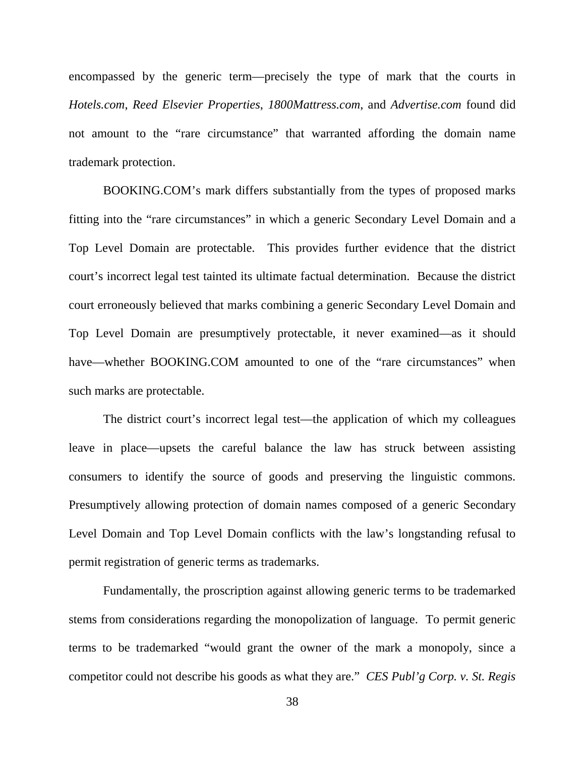encompassed by the generic term—precisely the type of mark that the courts in *Hotels.com*, *Reed Elsevier Properties*, *1800Mattress.com*, and *Advertise.com* found did not amount to the "rare circumstance" that warranted affording the domain name trademark protection.

BOOKING.COM's mark differs substantially from the types of proposed marks fitting into the "rare circumstances" in which a generic Secondary Level Domain and a Top Level Domain are protectable. This provides further evidence that the district court's incorrect legal test tainted its ultimate factual determination. Because the district court erroneously believed that marks combining a generic Secondary Level Domain and Top Level Domain are presumptively protectable, it never examined—as it should have—whether BOOKING.COM amounted to one of the "rare circumstances" when such marks are protectable.

The district court's incorrect legal test—the application of which my colleagues leave in place—upsets the careful balance the law has struck between assisting consumers to identify the source of goods and preserving the linguistic commons. Presumptively allowing protection of domain names composed of a generic Secondary Level Domain and Top Level Domain conflicts with the law's longstanding refusal to permit registration of generic terms as trademarks.

Fundamentally, the proscription against allowing generic terms to be trademarked stems from considerations regarding the monopolization of language. To permit generic terms to be trademarked "would grant the owner of the mark a monopoly, since a competitor could not describe his goods as what they are." *CES Publ'g Corp. v. St. Regis*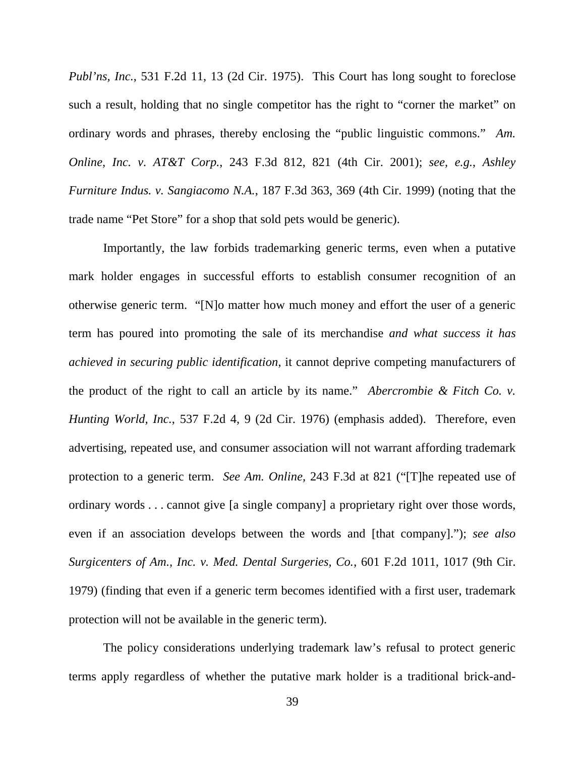*Publ'ns, Inc.*, 531 F.2d 11, 13 (2d Cir. 1975). This Court has long sought to foreclose such a result, holding that no single competitor has the right to "corner the market" on ordinary words and phrases, thereby enclosing the "public linguistic commons." *Am. Online, Inc. v. AT&T Corp.*, 243 F.3d 812, 821 (4th Cir. 2001); *see, e.g.*, *Ashley Furniture Indus. v. Sangiacomo N.A.*, 187 F.3d 363, 369 (4th Cir. 1999) (noting that the trade name "Pet Store" for a shop that sold pets would be generic).

Importantly, the law forbids trademarking generic terms, even when a putative mark holder engages in successful efforts to establish consumer recognition of an otherwise generic term. "[N]o matter how much money and effort the user of a generic term has poured into promoting the sale of its merchandise *and what success it has achieved in securing public identification*, it cannot deprive competing manufacturers of the product of the right to call an article by its name." *Abercrombie & Fitch Co. v. Hunting World, Inc.*, 537 F.2d 4, 9 (2d Cir. 1976) (emphasis added). Therefore, even advertising, repeated use, and consumer association will not warrant affording trademark protection to a generic term. *See Am. Online,* 243 F.3d at 821 ("[T]he repeated use of ordinary words . . . cannot give [a single company] a proprietary right over those words, even if an association develops between the words and [that company]."); *see also Surgicenters of Am., Inc. v. Med. Dental Surgeries, Co.*, 601 F.2d 1011, 1017 (9th Cir. 1979) (finding that even if a generic term becomes identified with a first user, trademark protection will not be available in the generic term).

The policy considerations underlying trademark law's refusal to protect generic terms apply regardless of whether the putative mark holder is a traditional brick-and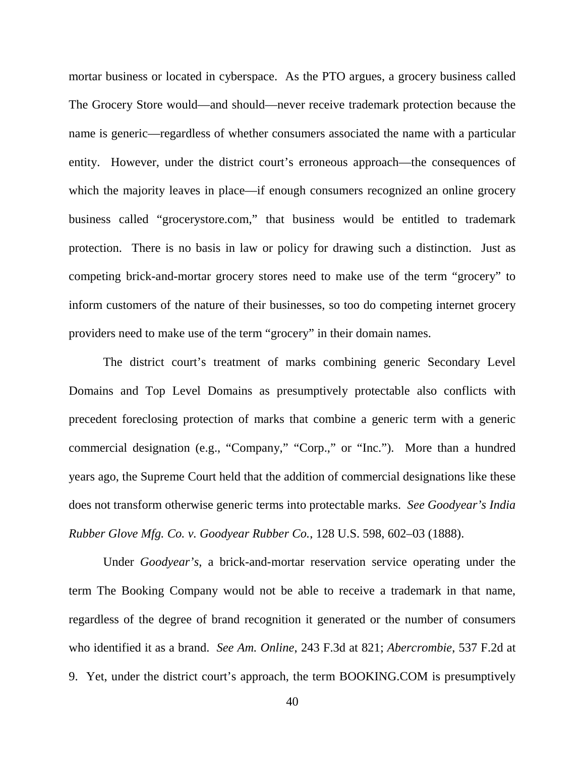mortar business or located in cyberspace. As the PTO argues, a grocery business called The Grocery Store would—and should—never receive trademark protection because the name is generic—regardless of whether consumers associated the name with a particular entity. However, under the district court's erroneous approach—the consequences of which the majority leaves in place—if enough consumers recognized an online grocery business called "grocerystore.com," that business would be entitled to trademark protection. There is no basis in law or policy for drawing such a distinction. Just as competing brick-and-mortar grocery stores need to make use of the term "grocery" to inform customers of the nature of their businesses, so too do competing internet grocery providers need to make use of the term "grocery" in their domain names.

The district court's treatment of marks combining generic Secondary Level Domains and Top Level Domains as presumptively protectable also conflicts with precedent foreclosing protection of marks that combine a generic term with a generic commercial designation (e.g., "Company," "Corp.," or "Inc."). More than a hundred years ago, the Supreme Court held that the addition of commercial designations like these does not transform otherwise generic terms into protectable marks. *See Goodyear's India Rubber Glove Mfg. Co. v. Goodyear Rubber Co.*, 128 U.S. 598, 602–03 (1888).

Under *Goodyear's*, a brick-and-mortar reservation service operating under the term The Booking Company would not be able to receive a trademark in that name, regardless of the degree of brand recognition it generated or the number of consumers who identified it as a brand. *See Am. Online*, 243 F.3d at 821; *Abercrombie*, 537 F.2d at 9. Yet, under the district court's approach, the term BOOKING.COM is presumptively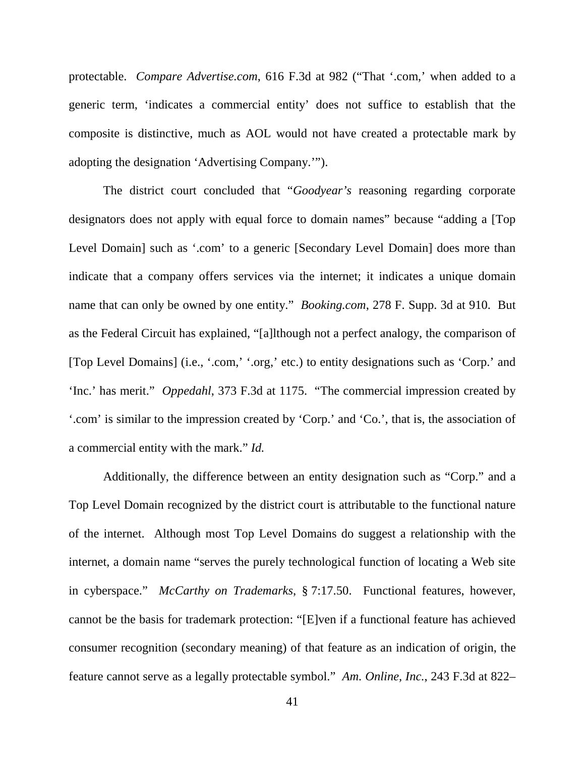protectable. *Compare Advertise.com*, 616 F.3d at 982 ("That '.com,' when added to a generic term, 'indicates a commercial entity' does not suffice to establish that the composite is distinctive, much as AOL would not have created a protectable mark by adopting the designation 'Advertising Company.'").

The district court concluded that "*Goodyear's* reasoning regarding corporate designators does not apply with equal force to domain names" because "adding a [Top Level Domain] such as '.com' to a generic [Secondary Level Domain] does more than indicate that a company offers services via the internet; it indicates a unique domain name that can only be owned by one entity." *Booking.com*, 278 F. Supp. 3d at 910. But as the Federal Circuit has explained, "[a]lthough not a perfect analogy, the comparison of [Top Level Domains] (i.e., '.com,' '.org,' etc.) to entity designations such as 'Corp.' and 'Inc.' has merit." *Oppedahl*, 373 F.3d at 1175. "The commercial impression created by '.com' is similar to the impression created by 'Corp.' and 'Co.', that is, the association of a commercial entity with the mark." *Id.*

Additionally, the difference between an entity designation such as "Corp." and a Top Level Domain recognized by the district court is attributable to the functional nature of the internet. Although most Top Level Domains do suggest a relationship with the internet, a domain name "serves the purely technological function of locating a Web site in cyberspace." *McCarthy on Trademarks*, § 7:17.50. Functional features, however, cannot be the basis for trademark protection: "[E]ven if a functional feature has achieved consumer recognition (secondary meaning) of that feature as an indication of origin, the feature cannot serve as a legally protectable symbol." *Am. Online, Inc.*, 243 F.3d at 822–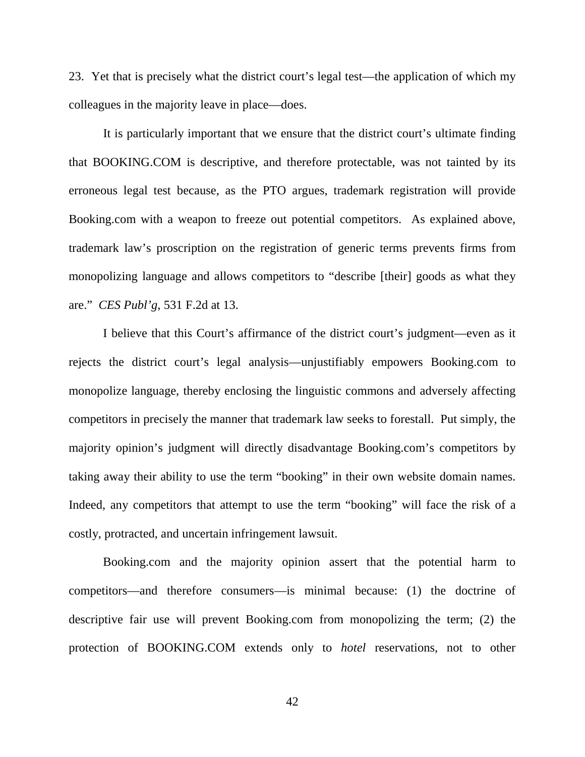23. Yet that is precisely what the district court's legal test—the application of which my colleagues in the majority leave in place—does.

It is particularly important that we ensure that the district court's ultimate finding that BOOKING.COM is descriptive, and therefore protectable, was not tainted by its erroneous legal test because, as the PTO argues, trademark registration will provide Booking.com with a weapon to freeze out potential competitors. As explained above, trademark law's proscription on the registration of generic terms prevents firms from monopolizing language and allows competitors to "describe [their] goods as what they are." *CES Publ'g*, 531 F.2d at 13.

I believe that this Court's affirmance of the district court's judgment—even as it rejects the district court's legal analysis—unjustifiably empowers Booking.com to monopolize language, thereby enclosing the linguistic commons and adversely affecting competitors in precisely the manner that trademark law seeks to forestall. Put simply, the majority opinion's judgment will directly disadvantage Booking.com's competitors by taking away their ability to use the term "booking" in their own website domain names. Indeed, any competitors that attempt to use the term "booking" will face the risk of a costly, protracted, and uncertain infringement lawsuit.

Booking.com and the majority opinion assert that the potential harm to competitors—and therefore consumers—is minimal because: (1) the doctrine of descriptive fair use will prevent Booking.com from monopolizing the term; (2) the protection of BOOKING.COM extends only to *hotel* reservations, not to other

42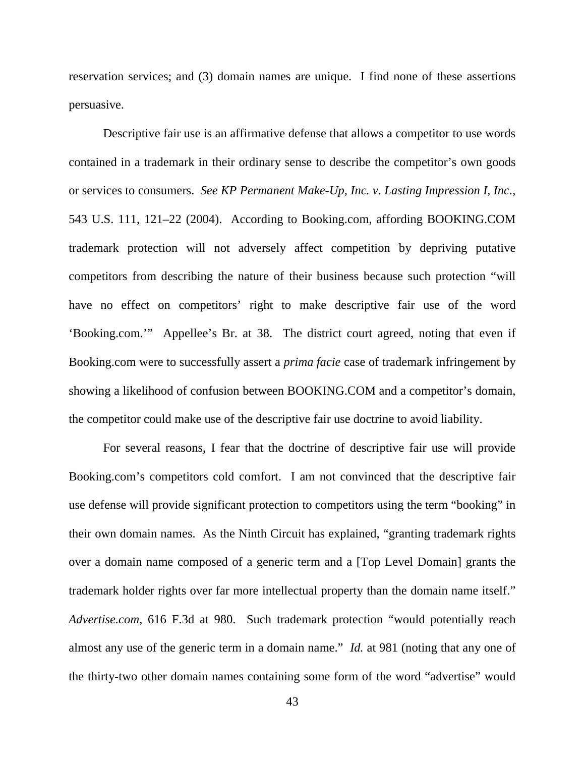reservation services; and (3) domain names are unique. I find none of these assertions persuasive.

Descriptive fair use is an affirmative defense that allows a competitor to use words contained in a trademark in their ordinary sense to describe the competitor's own goods or services to consumers. *See KP Permanent Make-Up, Inc. v. Lasting Impression I, Inc.*, 543 U.S. 111, 121–22 (2004). According to Booking.com, affording BOOKING.COM trademark protection will not adversely affect competition by depriving putative competitors from describing the nature of their business because such protection "will have no effect on competitors' right to make descriptive fair use of the word 'Booking.com.'" Appellee's Br. at 38. The district court agreed, noting that even if Booking.com were to successfully assert a *prima facie* case of trademark infringement by showing a likelihood of confusion between BOOKING.COM and a competitor's domain, the competitor could make use of the descriptive fair use doctrine to avoid liability.

For several reasons, I fear that the doctrine of descriptive fair use will provide Booking.com's competitors cold comfort. I am not convinced that the descriptive fair use defense will provide significant protection to competitors using the term "booking" in their own domain names. As the Ninth Circuit has explained, "granting trademark rights over a domain name composed of a generic term and a [Top Level Domain] grants the trademark holder rights over far more intellectual property than the domain name itself." *Advertise.com*, 616 F.3d at 980. Such trademark protection "would potentially reach almost any use of the generic term in a domain name." *Id.* at 981 (noting that any one of the thirty-two other domain names containing some form of the word "advertise" would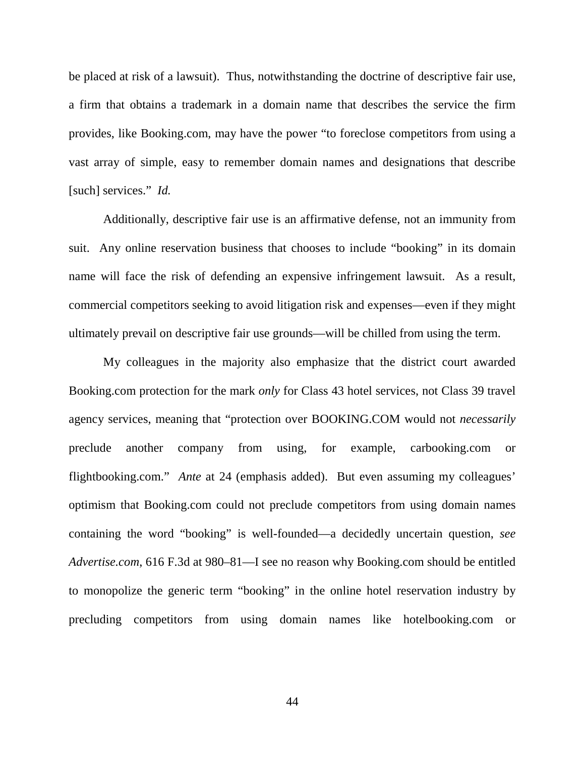be placed at risk of a lawsuit). Thus, notwithstanding the doctrine of descriptive fair use, a firm that obtains a trademark in a domain name that describes the service the firm provides, like Booking.com, may have the power "to foreclose competitors from using a vast array of simple, easy to remember domain names and designations that describe [such] services." *Id.*

Additionally, descriptive fair use is an affirmative defense, not an immunity from suit. Any online reservation business that chooses to include "booking" in its domain name will face the risk of defending an expensive infringement lawsuit. As a result, commercial competitors seeking to avoid litigation risk and expenses—even if they might ultimately prevail on descriptive fair use grounds—will be chilled from using the term.

My colleagues in the majority also emphasize that the district court awarded Booking.com protection for the mark *only* for Class 43 hotel services, not Class 39 travel agency services, meaning that "protection over BOOKING.COM would not *necessarily* preclude another company from using, for example, carbooking.com or flightbooking.com." *Ante* at 24 (emphasis added). But even assuming my colleagues' optimism that Booking.com could not preclude competitors from using domain names containing the word "booking" is well-founded—a decidedly uncertain question, *see Advertise.com*, 616 F.3d at 980–81—I see no reason why Booking.com should be entitled to monopolize the generic term "booking" in the online hotel reservation industry by precluding competitors from using domain names like hotelbooking.com or

44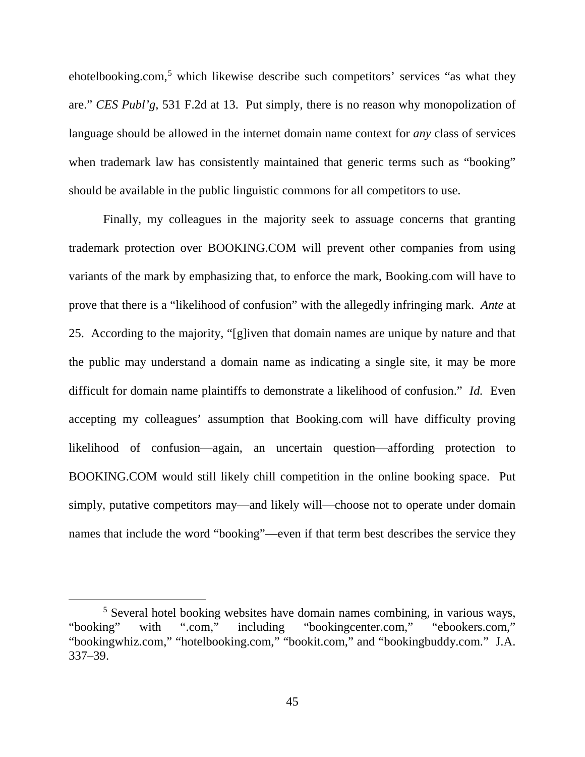ehotelbooking.com,<sup>[5](#page-44-0)</sup> which likewise describe such competitors' services "as what they are." *CES Publ'g*, 531 F.2d at 13. Put simply, there is no reason why monopolization of language should be allowed in the internet domain name context for *any* class of services when trademark law has consistently maintained that generic terms such as "booking" should be available in the public linguistic commons for all competitors to use.

Finally, my colleagues in the majority seek to assuage concerns that granting trademark protection over BOOKING.COM will prevent other companies from using variants of the mark by emphasizing that, to enforce the mark, Booking.com will have to prove that there is a "likelihood of confusion" with the allegedly infringing mark. *Ante* at 25. According to the majority, "[g]iven that domain names are unique by nature and that the public may understand a domain name as indicating a single site, it may be more difficult for domain name plaintiffs to demonstrate a likelihood of confusion." *Id.* Even accepting my colleagues' assumption that Booking.com will have difficulty proving likelihood of confusion—again, an uncertain question—affording protection to BOOKING.COM would still likely chill competition in the online booking space. Put simply, putative competitors may—and likely will—choose not to operate under domain names that include the word "booking"—even if that term best describes the service they

<span id="page-44-0"></span> <sup>5</sup> Several hotel booking websites have domain names combining, in various ways, "booking" with ".com," including "bookingcenter.com," "ebookers.com," "bookingwhiz.com," "hotelbooking.com," "bookit.com," and "bookingbuddy.com." J.A. 337–39.